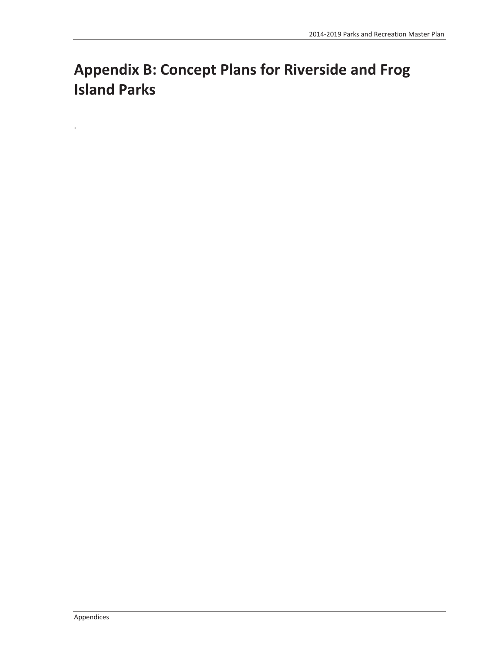# **Appendix B: Concept Plans for Riverside and Frog Island Parks**

.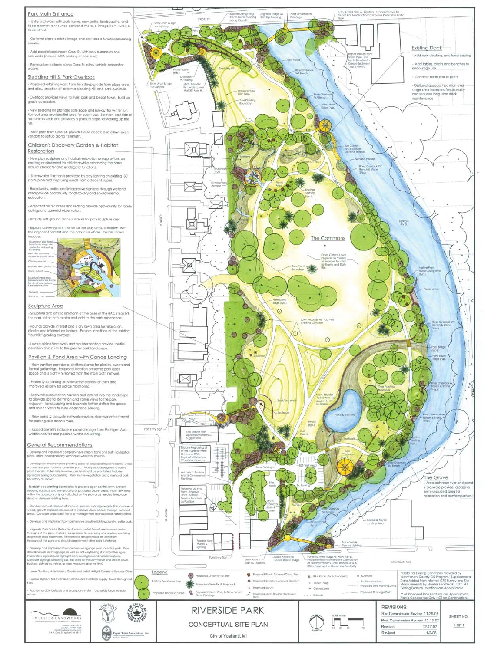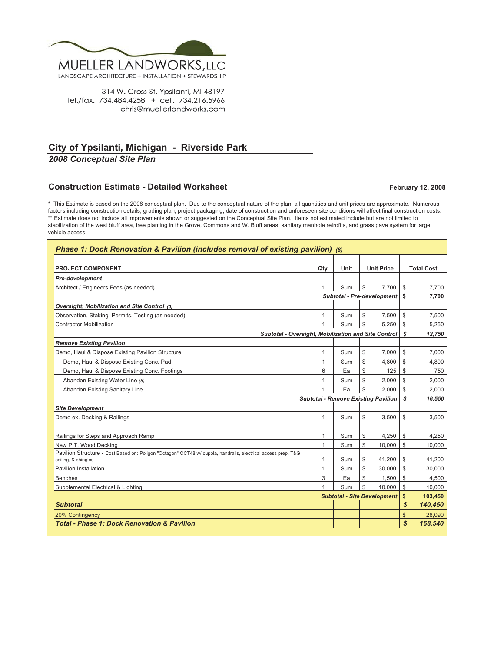

314 W. Cross St. Ypsilanti, MI 48197 tel./fax. 734.484.4258 + cell. 734.216.5966 chris@muellerlandworks.com

# **City of Ypsilanti, Michigan - Riverside Park**

*2008 Conceptual Site Plan*

## **Construction Estimate - Detailed Worksheet**

**February 12, 2008**

\* This Estimate is based on the 2008 conceptual plan. Due to the conceptual nature of the plan, all quantities and unit prices are approximate. Numerous factors including construction details, grading plan, project packaging, date of construction and unforeseen site conditions will affect final construction costs. \*\* Estimate does not include all improvements shown or suggested on the Conceptual Site Plan. Items not estimated include but are not limited to stabilization of the west bluff area, tree planting in the Grove, Commons and W. Bluff areas, sanitary manhole retrofits, and grass pave system for large vehicle access.

| Phase 1: Dock Renovation & Pavilion (includes removal of existing pavilion) (8)                                                      |              |      |                                   |                                            |              |                   |  |  |  |
|--------------------------------------------------------------------------------------------------------------------------------------|--------------|------|-----------------------------------|--------------------------------------------|--------------|-------------------|--|--|--|
|                                                                                                                                      |              |      |                                   |                                            |              |                   |  |  |  |
| <b>PROJECT COMPONENT</b>                                                                                                             | Qty.         | Unit |                                   | <b>Unit Price</b>                          |              | <b>Total Cost</b> |  |  |  |
| <b>Pre-development</b>                                                                                                               |              |      |                                   |                                            |              |                   |  |  |  |
| Architect / Engineers Fees (as needed)                                                                                               | 1            | Sum  | \$                                | 7.700                                      | $\mathbb{S}$ | 7,700             |  |  |  |
|                                                                                                                                      |              |      | <b>Subtotal - Pre-development</b> | \$                                         | 7,700        |                   |  |  |  |
| Oversight, Mobilization and Site Control (0)                                                                                         |              |      |                                   |                                            |              |                   |  |  |  |
| Observation, Staking, Permits, Testing (as needed)                                                                                   | 1            | Sum  | \$                                | 7,500                                      | \$           | 7,500             |  |  |  |
| <b>Contractor Mobilization</b>                                                                                                       | 1            | Sum  | \$                                | 5.250                                      | \$           | 5,250             |  |  |  |
| Subtotal - Oversight, Mobilization and Site Control                                                                                  |              |      |                                   |                                            | s            | 12,750            |  |  |  |
| <b>Remove Existing Pavilion</b>                                                                                                      |              |      |                                   |                                            |              |                   |  |  |  |
| Demo, Haul & Dispose Existing Pavilion Structure                                                                                     | 1            | Sum  | \$                                | 7,000                                      | \$           | 7,000             |  |  |  |
| Demo, Haul & Dispose Existing Conc. Pad                                                                                              | $\mathbf{1}$ | Sum  | \$                                | 4,800                                      | \$           | 4,800             |  |  |  |
| Demo, Haul & Dispose Existing Conc. Footings                                                                                         | 6            | Ea   | \$                                | 125                                        | $\mathbb{S}$ | 750               |  |  |  |
| Abandon Existing Water Line (5)                                                                                                      | 1            | Sum  | \$                                | 2.000                                      | \$           | 2,000             |  |  |  |
| Abandon Existing Sanitary Line                                                                                                       |              | Ea   | \$                                | 2.000                                      | \$           | 2.000             |  |  |  |
|                                                                                                                                      |              |      |                                   | <b>Subtotal - Remove Existing Pavilion</b> | \$           | 16,550            |  |  |  |
| <b>Site Development</b>                                                                                                              |              |      |                                   |                                            |              |                   |  |  |  |
| Demo ex. Decking & Railings                                                                                                          | $\mathbf{1}$ | Sum  | \$                                | 3,500                                      | \$           | 3,500             |  |  |  |
|                                                                                                                                      |              |      |                                   |                                            |              |                   |  |  |  |
| Railings for Steps and Approach Ramp                                                                                                 | 1            | Sum  | \$                                | 4,250                                      | \$           | 4,250             |  |  |  |
| New P.T. Wood Decking                                                                                                                | $\mathbf{1}$ | Sum  | \$                                | 10,000                                     | \$           | 10,000            |  |  |  |
| Pavilion Structure - Cost Based on: Poligon "Octagon" OCT48 w/ cupola, handrails, electrical access prep, T&G<br>ceiling, & shingles | 1            | Sum  | \$                                | 41,200                                     | \$           | 41.200            |  |  |  |
| <b>Pavilion Installation</b>                                                                                                         | 1            | Sum  | \$                                | 30.000                                     | \$           | 30.000            |  |  |  |
| <b>Benches</b>                                                                                                                       | 3            | Ea   | \$                                | 1.500                                      | \$           | 4,500             |  |  |  |
| Supplemental Electrical & Lighting                                                                                                   | 1            | Sum  | \$                                | 10.000                                     | \$           | 10,000            |  |  |  |
|                                                                                                                                      |              |      |                                   | <b>Subtotal - Site Development</b>         | $\mathbf{s}$ | 103,450           |  |  |  |
| <b>Subtotal</b>                                                                                                                      |              |      |                                   |                                            | $\mathbf{s}$ | 140,450           |  |  |  |
| 20% Contingency                                                                                                                      |              |      |                                   |                                            | \$           | 28.090            |  |  |  |
| <b>Total - Phase 1: Dock Renovation &amp; Pavilion</b>                                                                               |              |      |                                   |                                            | \$           | 168,540           |  |  |  |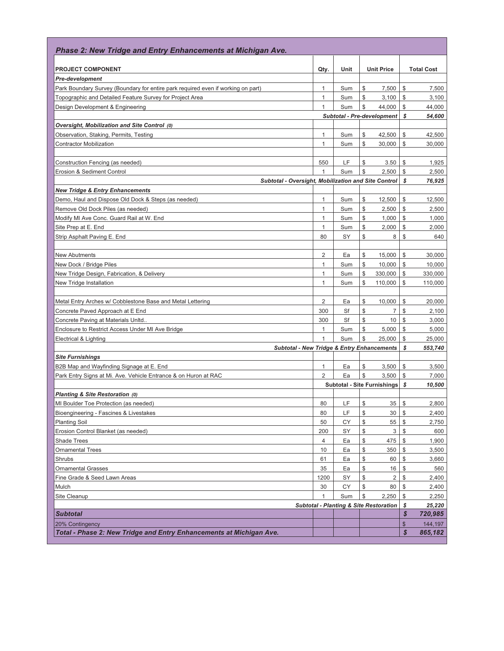| Phase 2: New Tridge and Entry Enhancements at Michigan Ave.                      |                |      |               |                                                   |              |                   |
|----------------------------------------------------------------------------------|----------------|------|---------------|---------------------------------------------------|--------------|-------------------|
| <b>PROJECT COMPONENT</b>                                                         | Qty.           | Unit |               | <b>Unit Price</b>                                 |              | <b>Total Cost</b> |
| <b>Pre-development</b>                                                           |                |      |               |                                                   |              |                   |
| Park Boundary Survey (Boundary for entire park required even if working on part) | 1              | Sum  | \$            | 7,500                                             | \$           | 7,500             |
| Topographic and Detailed Feature Survey for Project Area                         | $\mathbf{1}$   | Sum  | \$            | 3,100                                             | \$           | 3,100             |
| Design Development & Engineering                                                 | 1              | Sum  | \$            | 44,000                                            | \$           | 44,000            |
|                                                                                  |                |      |               | <b>Subtotal - Pre-development</b>                 | \$           | 54,600            |
| Oversight, Mobilization and Site Control (0)                                     |                |      |               |                                                   |              |                   |
| Observation, Staking, Permits, Testing                                           | $\mathbf{1}$   | Sum  | \$            | 42,500                                            | \$           | 42,500            |
| <b>Contractor Mobilization</b>                                                   | $\mathbf{1}$   | Sum  | \$            | 30,000                                            | \$           | 30,000            |
|                                                                                  |                |      |               |                                                   |              |                   |
| Construction Fencing (as needed)                                                 | 550            | LF   | \$            | 3.50                                              | \$           | 1,925             |
| Erosion & Sediment Control                                                       | $\mathbf{1}$   | Sum  | \$            | 2,500                                             | \$           | 2,500             |
| Subtotal - Oversight, Mobilization and Site Control                              |                |      |               |                                                   | \$           | 76,925            |
| <b>New Tridge &amp; Entry Enhancements</b>                                       |                |      |               |                                                   |              |                   |
| Demo, Haul and Dispose Old Dock & Steps (as needed)                              | 1              | Sum  | \$            | 12,500                                            | \$           | 12,500            |
| Remove Old Dock Piles (as needed)                                                | $\mathbf{1}$   | Sum  | \$            | 2,500                                             | \$           | 2,500             |
| Modify MI Ave Conc. Guard Rail at W. End                                         | 1              | Sum  | \$            | 1,000                                             | \$           | 1,000             |
| Site Prep at E. End                                                              | $\mathbf{1}$   | Sum  | \$            | 2,000                                             | \$           | 2,000             |
| Strip Asphalt Paving E. End                                                      | 80             | SY   | \$            | 8                                                 | \$           | 640               |
|                                                                                  |                |      |               |                                                   |              |                   |
| <b>New Abutments</b>                                                             | $\overline{2}$ | Ea   | \$            | 15,000                                            | \$           | 30,000            |
| New Dock / Bridge Piles                                                          | 1              | Sum  | \$            | 10,000                                            | \$           | 10,000            |
| New Tridge Design, Fabrication, & Delivery                                       | $\mathbf{1}$   | Sum  | \$            | 330,000                                           | \$           | 330,000           |
| New Tridge Installation                                                          | 1              | Sum  | \$            | 110,000                                           | \$           | 110,000           |
|                                                                                  |                |      |               |                                                   |              |                   |
| Metal Entry Arches w/ Cobblestone Base and Metal Lettering                       | 2              | Ea   | \$            | 10,000                                            | \$           | 20,000            |
| Concrete Paved Approach at E End                                                 | 300            | Sf   | \$            | $\overline{7}$                                    | \$           | 2,100             |
| Concrete Paving at Materials Unltd                                               | 300            | Sf   | \$            | 10                                                | \$           | 3,000             |
| Enclosure to Restrict Access Under MI Ave Bridge                                 | $\mathbf{1}$   | Sum  | \$            | 5,000                                             | \$           | 5,000             |
| Electrical & Lighting                                                            | 1              | Sum  | \$            | 25,000                                            | \$           | 25,000            |
| <b>Subtotal - New Tridge &amp; Entry Enhancements</b>                            |                |      |               |                                                   | \$           | 553,740           |
| <b>Site Furnishings</b>                                                          |                |      |               |                                                   |              |                   |
| B2B Map and Wayfinding Signage at E. End                                         | 1              | Ea   | \$            | 3,500                                             | \$           | 3,500             |
| Park Entry Signs at Mi. Ave. Vehicle Entrance & on Huron at RAC                  | $\overline{2}$ | Ea   | ${\mathbb S}$ | 3,500                                             | \$           | 7,000             |
|                                                                                  |                |      |               | <b>Subtotal - Site Furnishings</b>                | \$           | 10,500            |
| Planting & Site Restoration (0)                                                  |                |      |               |                                                   |              |                   |
| MI Boulder Toe Protection (as needed)                                            | 80             | LF   | \$            | 35                                                | \$           | 2,800             |
| Bioengineering - Fascines & Livestakes                                           | 80             | LF   | \$            | 30                                                | \$           | 2,400             |
| <b>Planting Soil</b>                                                             | 50             | CY   | \$            | 55                                                | \$           | 2,750             |
| Erosion Control Blanket (as needed)                                              | 200            | SY   | \$            | 3                                                 | \$           | 600               |
| <b>Shade Trees</b>                                                               | $\overline{4}$ | Ea   | \$            | 475                                               | \$           | 1,900             |
| <b>Ornamental Trees</b>                                                          | 10             | Ea   | \$            | 350                                               | \$           | 3,500             |
| <b>Shrubs</b>                                                                    | 61             | Ea   | \$            | 60                                                | \$           | 3,660             |
| <b>Ornamental Grasses</b>                                                        | 35             | Ea   | \$            | 16                                                | $\mathbb{S}$ | 560               |
| Fine Grade & Seed Lawn Areas                                                     | 1200           | SY   | \$            | 2                                                 | $\mathbb{S}$ | 2,400             |
| Mulch                                                                            | 30             | CY   | \$            | 80                                                | \$           | 2,400             |
| Site Cleanup                                                                     | $\mathbf{1}$   | Sum  | \$            | 2,250                                             | \$           | 2,250             |
|                                                                                  |                |      |               | <b>Subtotal - Planting &amp; Site Restoration</b> | \$           | 25,220            |
| <b>Subtotal</b>                                                                  |                |      |               |                                                   | \$           | 720,985           |
| 20% Contingency                                                                  |                |      |               |                                                   | \$           | 144,197           |
| Total - Phase 2: New Tridge and Entry Enhancements at Michigan Ave.              |                |      |               |                                                   | \$           | 865,182           |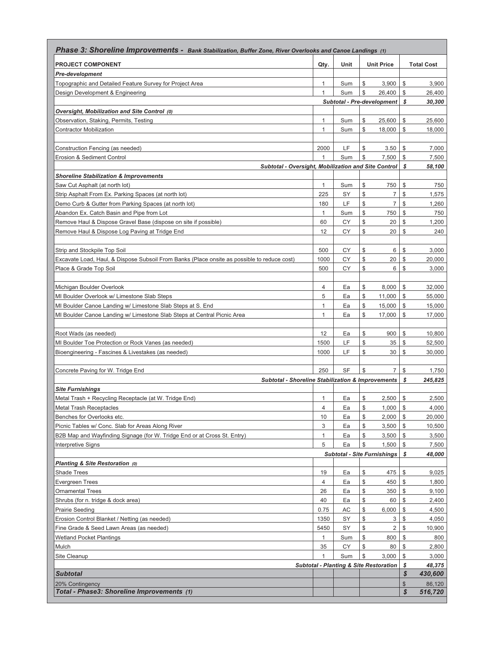| Phase 3: Shoreline Improvements - Bank Stabilization, Buffer Zone, River Overlooks and Canoe Landings (1)             |              |           |          |                                                   |               |                   |
|-----------------------------------------------------------------------------------------------------------------------|--------------|-----------|----------|---------------------------------------------------|---------------|-------------------|
| <b>PROJECT COMPONENT</b>                                                                                              | Qty.         | Unit      |          | <b>Unit Price</b>                                 |               | <b>Total Cost</b> |
| <b>Pre-development</b>                                                                                                |              |           |          |                                                   |               |                   |
| Topographic and Detailed Feature Survey for Project Area                                                              | 1            | Sum       | \$       | 3,900                                             | \$            | 3,900             |
| Design Development & Engineering                                                                                      | 1            | Sum       | \$       | 26.400                                            | \$            | 26,400            |
|                                                                                                                       |              |           |          | <b>Subtotal - Pre-development</b>                 | \$            | 30,300            |
| Oversight, Mobilization and Site Control (0)                                                                          |              |           |          |                                                   |               |                   |
| Observation, Staking, Permits, Testing                                                                                | 1            | Sum       | \$<br>\$ | 25,600                                            | \$            | 25,600            |
| <b>Contractor Mobilization</b>                                                                                        | $\mathbf{1}$ | Sum       |          | 18,000                                            | \$            | 18,000            |
| Construction Fencing (as needed)                                                                                      | 2000         | LF        | \$       | 3.50                                              | \$            | 7,000             |
| Erosion & Sediment Control                                                                                            | $\mathbf{1}$ | Sum       | \$       | 7,500                                             | \$            | 7,500             |
| Subtotal - Oversight, Mobilization and Site Control                                                                   |              |           |          |                                                   | \$            | 58,100            |
| <b>Shoreline Stabilization &amp; Improvements</b>                                                                     |              |           |          |                                                   |               |                   |
| Saw Cut Asphalt (at north lot)                                                                                        | 1            | Sum       | \$       | 750                                               | \$            | 750               |
| Strip Asphalt From Ex. Parking Spaces (at north lot)                                                                  | 225          | SY        | \$       | $\overline{7}$                                    | \$            | 1,575             |
| Demo Curb & Gutter from Parking Spaces (at north lot)                                                                 | 180          | LF        | \$       | $\overline{7}$                                    | \$            | 1,260             |
| Abandon Ex. Catch Basin and Pipe from Lot                                                                             | $\mathbf{1}$ | Sum       | \$       | 750                                               | \$            | 750               |
| Remove Haul & Dispose Gravel Base (dispose on site if possible)                                                       | 60           | CY        | \$       | 20                                                | \$            | 1,200             |
| Remove Haul & Dispose Log Paving at Tridge End                                                                        | 12           | CY        | \$       | 20                                                | \$            | 240               |
|                                                                                                                       |              |           |          |                                                   |               |                   |
| Strip and Stockpile Top Soil                                                                                          | 500<br>1000  | СY<br>CY  | \$<br>\$ | 6<br>20                                           | \$<br>\$      | 3,000             |
| Excavate Load, Haul, & Dispose Subsoil From Banks (Place onsite as possible to reduce cost)<br>Place & Grade Top Soil | 500          | СY        | \$       | 6                                                 | \$            | 20,000<br>3,000   |
|                                                                                                                       |              |           |          |                                                   |               |                   |
| Michigan Boulder Overlook                                                                                             | 4            | Ea        | \$       | 8,000                                             | \$            | 32,000            |
| MI Boulder Overlook w/ Limestone Slab Steps                                                                           | 5            | Ea        | \$       | 11,000                                            | \$            | 55,000            |
| MI Boulder Canoe Landing w/ Limestone Slab Steps at S. End                                                            | 1            | Ea        | \$       | 15,000                                            | \$            | 15,000            |
| MI Boulder Canoe Landing w/ Limestone Slab Steps at Central Picnic Area                                               | $\mathbf{1}$ | Ea        | \$       | 17,000                                            | \$            | 17,000            |
|                                                                                                                       |              |           |          |                                                   |               |                   |
| Root Wads (as needed)                                                                                                 | 12           | Ea        | \$       | 900                                               | \$            | 10,800            |
| MI Boulder Toe Protection or Rock Vanes (as needed)                                                                   | 1500         | LF        | \$       | 35                                                | \$            | 52,500            |
| Bioengineering - Fascines & Livestakes (as needed)                                                                    | 1000         | LF        | \$       | 30                                                | \$            | 30,000            |
| Concrete Paving for W. Tridge End                                                                                     | 250          | <b>SF</b> | \$       | $\overline{7}$                                    | \$            | 1,750             |
| <b>Subtotal - Shoreline Stabilization &amp; Improvements</b>                                                          |              |           |          |                                                   | \$            | 245,825           |
| <b>Site Furnishings</b>                                                                                               |              |           |          |                                                   |               |                   |
| Metal Trash + Recycling Receptacle (at W. Tridge End)                                                                 | 1            | Ea        | \$       | 2,500                                             | \$            | 2,500             |
| <b>Metal Trash Receptacles</b>                                                                                        | 4            | Ea        | \$       | 1,000                                             | \$            | 4,000             |
| Benches for Overlooks etc.                                                                                            | 10           | Ea        | \$       | 2,000                                             | $\frac{1}{2}$ | 20,000            |
| Picnic Tables w/ Conc. Slab for Areas Along River                                                                     | 3            | Ea        | \$       | 3,500                                             | $\mathbb{S}$  | 10,500            |
| B2B Map and Wayfinding Signage (for W. Tridge End or at Cross St. Entry)                                              | $\mathbf{1}$ | Ea        | \$       | 3,500                                             | \$            | 3,500             |
| <b>Interpretive Signs</b>                                                                                             | 5            | Ea        | \$       | 1,500                                             | \$            | 7,500             |
|                                                                                                                       |              |           |          | <b>Subtotal - Site Furnishings</b>                | \$            | 48,000            |
| Planting & Site Restoration (0)                                                                                       |              |           |          |                                                   |               |                   |
| Shade Trees<br><b>Evergreen Trees</b>                                                                                 | 19<br>4      | Ea        | \$<br>\$ | 475                                               | \$<br>\$      | 9,025             |
| <b>Ornamental Trees</b>                                                                                               | 26           | Ea<br>Ea  | \$       | 450<br>350                                        | \$            | 1,800<br>9,100    |
| Shrubs (for n. tridge & dock area)                                                                                    | 40           | Ea        | \$       | 60                                                | \$            | 2,400             |
| Prairie Seeding                                                                                                       | 0.75         | AC        | \$       | 6,000                                             | \$            | 4,500             |
| Erosion Control Blanket / Netting (as needed)                                                                         | 1350         | SY        | \$       | 3                                                 | \$            | 4,050             |
| Fine Grade & Seed Lawn Areas (as needed)                                                                              | 5450         | SY        | \$       | 2                                                 | \$            | 10,900            |
| <b>Wetland Pocket Plantings</b>                                                                                       | 1            | Sum       | \$       | 800                                               | \$            | 800               |
| Mulch                                                                                                                 | 35           | СY        | \$       | 80                                                | \$            | 2,800             |
| Site Cleanup                                                                                                          | $\mathbf{1}$ | Sum       | \$       | 3,000                                             | \$            | 3,000             |
|                                                                                                                       |              |           |          | <b>Subtotal - Planting &amp; Site Restoration</b> | \$            | 48,375            |
| <b>Subtotal</b>                                                                                                       |              |           |          |                                                   | \$            | 430,600           |
| 20% Contingency                                                                                                       |              |           |          |                                                   | \$            | 86,120            |
| Total - Phase3: Shoreline Improvements (1)                                                                            |              |           |          |                                                   | \$            | 516,720           |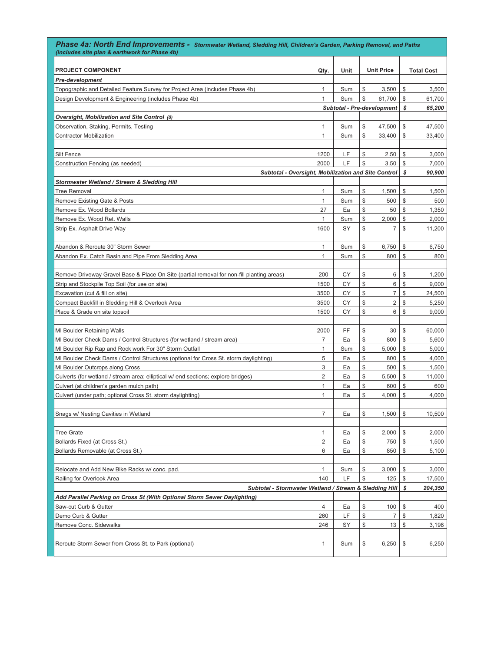| Phase 4a: North End Improvements - Stormwater Wetland, Sledding Hill, Children's Garden, Parking Removal, and Paths<br>(includes site plan & earthwork for Phase 4b) |                |           |          |                            |          |                   |  |
|----------------------------------------------------------------------------------------------------------------------------------------------------------------------|----------------|-----------|----------|----------------------------|----------|-------------------|--|
| <b>PROJECT COMPONENT</b>                                                                                                                                             | Qty.           | Unit      |          | <b>Unit Price</b>          |          | <b>Total Cost</b> |  |
| <b>Pre-development</b>                                                                                                                                               |                |           |          |                            |          |                   |  |
| Topographic and Detailed Feature Survey for Project Area (includes Phase 4b)                                                                                         | $\mathbf{1}$   | Sum       | \$       | 3,500                      | \$       | 3,500             |  |
| Design Development & Engineering (includes Phase 4b)                                                                                                                 | 1              | Sum       | \$       | 61,700                     | \$       | 61,700            |  |
|                                                                                                                                                                      |                |           |          | Subtotal - Pre-development | s        | 65,200            |  |
| Oversight, Mobilization and Site Control (0)                                                                                                                         |                |           |          |                            |          |                   |  |
| Observation, Staking, Permits, Testing                                                                                                                               | 1              | Sum       | \$       | 47,500                     | \$       | 47,500            |  |
| Contractor Mobilization                                                                                                                                              | $\mathbf{1}$   | Sum       | \$       | 33,400                     | \$       | 33,400            |  |
|                                                                                                                                                                      |                |           |          |                            |          |                   |  |
| Silt Fence                                                                                                                                                           | 1200           | LF        | \$       | 2.50                       | \$       | 3,000             |  |
| Construction Fencing (as needed)                                                                                                                                     | 2000           | LF        | \$       | 3.50                       | \$       | 7,000             |  |
| Subtotal - Oversight, Mobilization and Site Control                                                                                                                  |                |           |          |                            | S        | 90,900            |  |
| Stormwater Wetland / Stream & Sledding Hill                                                                                                                          |                |           |          |                            |          |                   |  |
| <b>Tree Removal</b>                                                                                                                                                  | 1              | Sum       | \$       | 1,500                      | \$       | 1,500             |  |
| Remove Existing Gate & Posts                                                                                                                                         | $\mathbf{1}$   | Sum       | \$       | 500                        | \$       | 500               |  |
| Remove Ex. Wood Bollards                                                                                                                                             | 27             | Ea        | \$       | 50                         | \$       | 1,350             |  |
| Remove Ex. Wood Ret. Walls                                                                                                                                           | $\mathbf{1}$   | Sum       | \$       | 2,000                      | \$       | 2,000             |  |
| Strip Ex. Asphalt Drive Way                                                                                                                                          | 1600           | SY        | \$       | $\overline{7}$             | \$       | 11,200            |  |
|                                                                                                                                                                      |                |           |          |                            |          |                   |  |
| Abandon & Reroute 30" Storm Sewer                                                                                                                                    | $\mathbf{1}$   | Sum       | \$       | 6,750                      | \$       | 6,750             |  |
| Abandon Ex. Catch Basin and Pipe From Sledding Area                                                                                                                  | 1              | Sum       | \$       | 800                        | \$       | 800               |  |
|                                                                                                                                                                      |                |           |          |                            |          |                   |  |
| Remove Driveway Gravel Base & Place On Site (partial removal for non-fill planting areas)                                                                            | 200            | CY        | \$       | 6                          | \$       | 1,200             |  |
| Strip and Stockpile Top Soil (for use on site)                                                                                                                       | 1500           | CY        | \$       | 6                          | \$       | 9,000             |  |
| Excavation (cut & fill on site)                                                                                                                                      | 3500           | <b>CY</b> | \$       | $\overline{7}$             | \$       | 24,500            |  |
| Compact Backfill in Sledding Hill & Overlook Area                                                                                                                    | 3500           | CY        | \$       | $\overline{2}$             | \$       | 5,250             |  |
| Place & Grade on site topsoil                                                                                                                                        | 1500           | CY        | \$       | 6                          | \$       | 9,000             |  |
|                                                                                                                                                                      |                |           |          |                            |          |                   |  |
| MI Boulder Retaining Walls                                                                                                                                           | 2000           | FF        | \$       | 30                         | \$       | 60,000            |  |
| MI Boulder Check Dams / Control Structures (for wetland / stream area)                                                                                               | 7              | Ea        | \$       | 800                        | \$       | 5,600             |  |
| MI Boulder Rip Rap and Rock work For 30" Storm Outfall                                                                                                               | 1<br>5         | Sum       | \$<br>\$ | 5,000                      | \$<br>\$ | 5,000             |  |
| MI Boulder Check Dams / Control Structures (optional for Cross St. storm daylighting)                                                                                | 3              | Ea<br>Ea  | \$       | 800<br>500                 | \$       | 4,000<br>1,500    |  |
| MI Boulder Outcrops along Cross<br>Culverts (for wetland / stream area; elliptical w/ end sections; explore bridges)                                                 | 2              | Ea        | \$       | 5,500                      | \$       | 11,000            |  |
| Culvert (at children's garden mulch path)                                                                                                                            | 1              | Ea        | \$       | 600                        | \$       | 600               |  |
| Culvert (under path; optional Cross St. storm daylighting)                                                                                                           | 1              | Ea        | \$       | 4,000                      | \$       | 4,000             |  |
|                                                                                                                                                                      |                |           |          |                            |          |                   |  |
| Snags w/ Nesting Cavities in Wetland                                                                                                                                 | 7              | Ea        | \$       | 1,500                      | \$       | 10,500            |  |
|                                                                                                                                                                      |                |           |          |                            |          |                   |  |
| <b>Tree Grate</b>                                                                                                                                                    | 1              | Ea        | \$       | 2,000                      | \$       | 2,000             |  |
| Bollards Fixed (at Cross St.)                                                                                                                                        | $\mathbf{2}$   | Ea        | \$       | 750                        | \$       | 1,500             |  |
| Bollards Removable (at Cross St.)                                                                                                                                    | 6              | Ea        | \$       | 850                        | \$       | 5,100             |  |
|                                                                                                                                                                      |                |           |          |                            |          |                   |  |
| Relocate and Add New Bike Racks w/ conc. pad.                                                                                                                        | 1              | Sum       | \$       | 3,000                      | \$       | 3,000             |  |
| Railing for Overlook Area                                                                                                                                            | 140            | LF        | \$       | 125                        | \$       | 17,500            |  |
| Subtotal - Stormwater Wetland / Stream & Sledding Hill                                                                                                               |                |           |          |                            |          |                   |  |
| Add Parallel Parking on Cross St (With Optional Storm Sewer Daylighting)                                                                                             |                |           |          |                            |          |                   |  |
| Saw-cut Curb & Gutter                                                                                                                                                | $\overline{4}$ | Ea        | \$       | 100                        | \$       | 400               |  |
| Demo Curb & Gutter                                                                                                                                                   | 260            | LF        | \$       | $\overline{7}$             | \$       | 1,820             |  |
| Remove Conc. Sidewalks                                                                                                                                               | 246            | SY        | \$       | 13                         | \$       | 3,198             |  |
|                                                                                                                                                                      |                |           |          |                            |          |                   |  |
| Reroute Storm Sewer from Cross St. to Park (optional)                                                                                                                | 1              | Sum       | \$       | 6,250                      | \$       | 6,250             |  |
|                                                                                                                                                                      |                |           |          |                            |          |                   |  |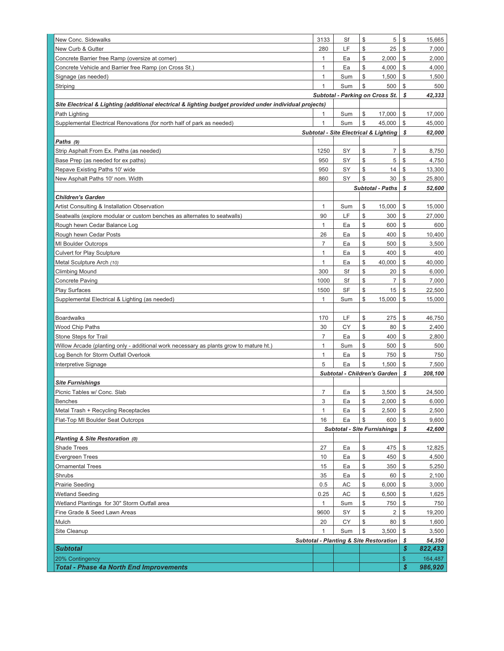| New Conc. Sidewalks                                                                                     | 3133           | Sf        | \$       | 5                                                 | \$                   | 15,665  |
|---------------------------------------------------------------------------------------------------------|----------------|-----------|----------|---------------------------------------------------|----------------------|---------|
|                                                                                                         |                | LF        | \$       |                                                   | \$                   |         |
| New Curb & Gutter                                                                                       | 280            |           |          | 25                                                |                      | 7,000   |
| Concrete Barrier free Ramp (oversize at corner)                                                         | 1              | Ea        | \$       | 2,000                                             | \$                   | 2,000   |
| Concrete Vehicle and Barrier free Ramp (on Cross St.)                                                   | 1              | Ea        | \$       | 4,000                                             | \$                   | 4,000   |
| Signage (as needed)                                                                                     | 1              | Sum       | \$       | 1,500                                             | \$                   | 1,500   |
| Striping                                                                                                | $\mathbf{1}$   | Sum       | \$       | 500                                               | \$                   | 500     |
|                                                                                                         |                |           |          | Subtotal - Parking on Cross St.                   | s                    | 42,333  |
| Site Electrical & Lighting (additional electrical & lighting budget provided under individual projects) |                |           |          |                                                   |                      |         |
| Path Lighting                                                                                           | 1              | Sum       | \$       | 17,000                                            | \$                   | 17,000  |
| Supplemental Electrical Renovations (for north half of park as needed)                                  | 1              | Sum       | \$       | 45,000                                            | \$                   | 45,000  |
|                                                                                                         |                |           |          | <b>Subtotal - Site Electrical &amp; Lighting</b>  | \$                   | 62,000  |
| Paths (9)                                                                                               |                |           |          |                                                   |                      |         |
| Strip Asphalt From Ex. Paths (as needed)                                                                | 1250           | SY        | \$       | 7                                                 | \$                   | 8,750   |
| Base Prep (as needed for ex paths)                                                                      | 950            | SY        | \$       | 5                                                 | \$                   | 4,750   |
| Repave Existing Paths 10' wide                                                                          | 950            | SY        | \$       | 14                                                | \$                   | 13,300  |
| New Asphalt Paths 10' nom. Width                                                                        | 860            | SY        | \$       | 30                                                | \$                   | 25,800  |
|                                                                                                         |                |           |          | <b>Subtotal - Paths</b>                           | \$                   | 52,600  |
| <b>Children's Garden</b>                                                                                |                |           |          |                                                   |                      |         |
| Artist Consulting & Installation Observation                                                            | 1              | Sum       | \$       | 15,000                                            | \$                   | 15,000  |
| Seatwalls (explore modular or custom benches as alternates to seatwalls)                                | 90             | LF        | \$       | 300                                               | \$                   | 27,000  |
| Rough hewn Cedar Balance Log                                                                            | 1              | Ea        | \$       | 600                                               | \$                   | 600     |
| Rough hewn Cedar Posts                                                                                  | 26             | Ea        | \$       | 400                                               | \$                   | 10,400  |
| MI Boulder Outcrops                                                                                     | 7              | Ea        | \$       | 500                                               | \$                   | 3,500   |
| <b>Culvert for Play Sculpture</b>                                                                       | $\mathbf{1}$   | Ea        | \$       | 400                                               | \$                   | 400     |
| Metal Sculpture Arch (10)                                                                               | $\mathbf{1}$   | Ea        | \$       | 40,000                                            | \$                   | 40,000  |
| Climbing Mound                                                                                          | 300            | Sf        | \$       | 20                                                | \$                   | 6,000   |
| Concrete Paving                                                                                         | 1000           | Sf        | \$       | 7                                                 | \$                   | 7,000   |
| Play Surfaces                                                                                           | 1500           | <b>SF</b> | \$       | 15                                                | \$                   | 22,500  |
| Supplemental Electrical & Lighting (as needed)                                                          | 1              | Sum       | \$       | 15,000                                            | \$                   | 15,000  |
|                                                                                                         |                |           |          |                                                   |                      |         |
| Boardwalks                                                                                              | 170            | LF        | \$       | 275                                               | \$                   | 46,750  |
| Wood Chip Paths                                                                                         | 30             | СY        | \$       | 80                                                | \$                   | 2,400   |
| Stone Steps for Trail                                                                                   | $\overline{7}$ | Ea        | \$       | 400                                               | \$                   | 2,800   |
| Willow Arcade (planting only - additional work necessary as plants grow to mature ht.)                  | 1              | Sum       | \$       | 500                                               | \$                   | 500     |
| Log Bench for Storm Outfall Overlook                                                                    | 1              | Ea        | \$       | 750                                               | \$                   | 750     |
| Interpretive Signage                                                                                    | 5              | Ea        | \$       | 1,500                                             | \$                   | 7,500   |
|                                                                                                         |                |           |          | Subtotal - Children's Garden                      | \$                   |         |
|                                                                                                         |                |           |          |                                                   |                      | 208,100 |
| <b>Site Furnishings</b>                                                                                 | 7              |           |          |                                                   |                      |         |
| Picnic Tables w/ Conc. Slab                                                                             |                | Ea        | \$<br>\$ | 3,500<br>2,000                                    | \$<br>$$\mathbb{S}$$ | 24,500  |
| Benches                                                                                                 | 3              | Ea        |          |                                                   | \$                   | 6,000   |
| Metal Trash + Recycling Receptacles                                                                     | $\mathbf{1}$   | Ea        | \$       | 2,500                                             |                      | 2,500   |
| Flat-Top MI Boulder Seat Outcrops                                                                       | 16             | Ea        | \$       | 600                                               | \$                   | 9,600   |
|                                                                                                         |                |           |          | <b>Subtotal - Site Furnishings</b>                | \$                   | 42,600  |
| Planting & Site Restoration (0)                                                                         |                |           |          |                                                   |                      |         |
| <b>Shade Trees</b>                                                                                      | 27             | Ea        | \$       | 475                                               | \$                   | 12,825  |
| <b>Evergreen Trees</b>                                                                                  | 10             | Ea        | \$       | 450                                               | \$                   | 4,500   |
| <b>Ornamental Trees</b>                                                                                 | 15             | Ea        | \$       | 350                                               | \$                   | 5,250   |
| Shrubs                                                                                                  | 35             | Ea        | \$       | 60                                                | \$                   | 2,100   |
| <b>Prairie Seeding</b>                                                                                  | 0.5            | AC        | \$       | 6,000                                             | \$                   | 3,000   |
| <b>Wetland Seeding</b>                                                                                  | 0.25           | AC        | \$       | 6,500                                             | \$                   | 1,625   |
| Wetland Plantings for 30" Storm Outfall area                                                            | $\mathbf{1}$   | Sum       | \$       | 750                                               | \$                   | 750     |
| Fine Grade & Seed Lawn Areas                                                                            | 9600           | SY        | \$       | $\overline{c}$                                    | \$                   | 19,200  |
| Mulch                                                                                                   | 20             | СY        | \$       | 80                                                | \$                   | 1,600   |
| Site Cleanup                                                                                            | 1              | Sum       | \$       | 3,500                                             | \$                   | 3,500   |
|                                                                                                         |                |           |          | <b>Subtotal - Planting &amp; Site Restoration</b> | \$                   | 54,350  |
| Subtotal                                                                                                |                |           |          |                                                   | \$                   | 822,433 |
| 20% Contingency                                                                                         |                |           |          |                                                   | \$                   | 164,487 |
| <b>Total - Phase 4a North End Improvements</b>                                                          |                |           |          |                                                   | \$                   | 986,920 |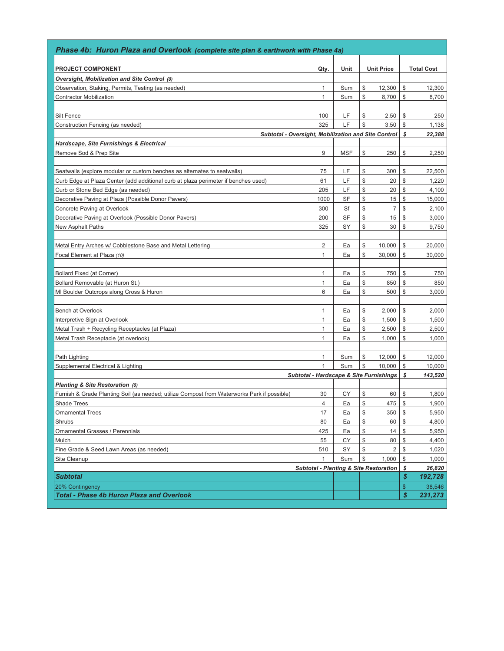| Phase 4b: Huron Plaza and Overlook (complete site plan & earthwork with Phase 4a)           |              |            |                                                   |               |                   |
|---------------------------------------------------------------------------------------------|--------------|------------|---------------------------------------------------|---------------|-------------------|
| <b>PROJECT COMPONENT</b>                                                                    | Qty.         | Unit       | <b>Unit Price</b>                                 |               | <b>Total Cost</b> |
| Oversight, Mobilization and Site Control (0)                                                |              |            |                                                   |               |                   |
| Observation, Staking, Permits, Testing (as needed)                                          | 1            | Sum        | \$<br>12,300                                      | \$            | 12,300            |
| <b>Contractor Mobilization</b>                                                              | 1            | Sum        | \$<br>8,700                                       | \$            | 8,700             |
|                                                                                             |              |            |                                                   |               |                   |
| Silt Fence                                                                                  | 100          | LF         | \$<br>2.50                                        | \$            | 250               |
| Construction Fencing (as needed)                                                            | 325          | LF         | \$<br>3.50                                        | \$            | 1,138             |
| Subtotal - Oversight, Mobilization and Site Control                                         |              |            |                                                   | \$            | 22,388            |
| <b>Hardscape, Site Furnishings &amp; Electrical</b>                                         |              |            |                                                   |               |                   |
| Remove Sod & Prep Site                                                                      | 9            | <b>MSF</b> | \$<br>250                                         | \$            | 2,250             |
|                                                                                             |              |            |                                                   |               |                   |
| Seatwalls (explore modular or custom benches as alternates to seatwalls)                    | 75           | LF         | \$<br>300                                         | \$            | 22,500            |
| Curb Edge at Plaza Center (add additional curb at plaza perimeter if benches used)          | 61           | LF         | \$<br>20                                          | \$            | 1,220             |
| Curb or Stone Bed Edge (as needed)                                                          | 205          | LF         | \$<br>20                                          | \$            | 4,100             |
| Decorative Paving at Plaza (Possible Donor Pavers)                                          | 1000         | SF         | \$<br>15                                          | \$            | 15,000            |
| Concrete Paving at Overlook                                                                 | 300          | Sf         | \$<br>$\overline{7}$                              | \$            | 2,100             |
| Decorative Paving at Overlook (Possible Donor Pavers)                                       | 200          | SF         | \$<br>15                                          | \$            | 3,000             |
| New Asphalt Paths                                                                           | 325          | SY         | \$<br>30                                          | \$            | 9,750             |
|                                                                                             |              |            |                                                   |               |                   |
| Metal Entry Arches w/ Cobblestone Base and Metal Lettering                                  | 2            | Ea         | \$<br>10,000                                      | \$            | 20,000            |
| Focal Element at Plaza (10)                                                                 | 1            | Ea         | \$<br>30,000                                      | \$            | 30,000            |
|                                                                                             |              |            |                                                   |               |                   |
| <b>Bollard Fixed (at Corner)</b>                                                            | 1            | Ea         | \$<br>750                                         | \$            | 750               |
| Bollard Removable (at Huron St.)                                                            | 1            | Ea         | \$<br>850                                         | \$            | 850               |
| MI Boulder Outcrops along Cross & Huron                                                     | 6            | Ea         | \$<br>500                                         | \$            | 3,000             |
|                                                                                             |              |            |                                                   |               |                   |
| Bench at Overlook                                                                           | 1            | Ea         | \$<br>2,000                                       | \$            | 2,000             |
| Interpretive Sign at Overlook                                                               | 1            | Ea         | \$<br>1,500                                       | \$            | 1,500             |
| Metal Trash + Recycling Receptacles (at Plaza)                                              | 1            | Ea         | \$<br>2,500                                       | \$            | 2,500             |
| Metal Trash Receptacle (at overlook)                                                        | 1            | Ea         | \$<br>1,000                                       | \$            | 1,000             |
|                                                                                             |              |            |                                                   |               |                   |
| Path Lighting                                                                               | 1            | Sum        | \$<br>12,000                                      | \$            | 12,000            |
| Supplemental Electrical & Lighting                                                          | $\mathbf{1}$ | Sum        | \$<br>10.000                                      | \$            | 10,000            |
| Subtotal - Hardscape & Site Furnishings                                                     |              |            |                                                   | \$            | 143,520           |
| Planting & Site Restoration (0)                                                             |              |            |                                                   |               |                   |
| Furnish & Grade Planting Soil (as needed; utilize Compost from Waterworks Park if possible) | 30           | СY         | \$<br>60                                          | \$            | 1,800             |
| <b>Shade Trees</b>                                                                          | 4            | Ea         | \$<br>475                                         | \$            | 1,900             |
| Ornamental Trees                                                                            | 17           | Ea         | \$<br>350                                         | \$            | 5,950             |
| Shrubs                                                                                      | 80           | Ea         | \$<br>60                                          | \$            | 4,800             |
| <b>Ornamental Grasses / Perennials</b>                                                      | 425          | Ea         | \$<br>14                                          | \$            | 5,950             |
| Mulch                                                                                       | 55           | CY         | \$<br>80                                          | $\mathbb{S}$  | 4,400             |
| Fine Grade & Seed Lawn Areas (as needed)                                                    | 510          | SY         | \$<br>2                                           | \$            | 1,020             |
| Site Cleanup                                                                                | $\mathbf{1}$ | Sum        | \$<br>1,000                                       | \$            | 1,000             |
|                                                                                             |              |            | <b>Subtotal - Planting &amp; Site Restoration</b> | \$            | 26,820            |
| <b>Subtotal</b>                                                                             |              |            |                                                   | S             | 192,728           |
| 20% Contingency                                                                             |              |            |                                                   | $\frac{1}{2}$ | 38,546            |
| <b>Total - Phase 4b Huron Plaza and Overlook</b>                                            |              |            |                                                   | \$            | 231,273           |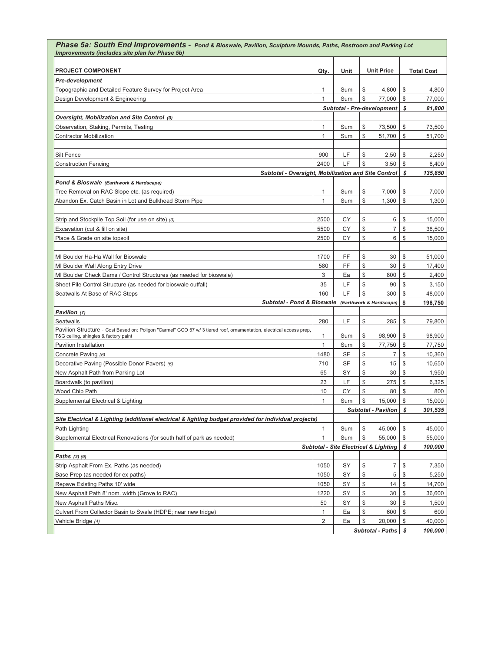| Phase 5a: South End Improvements - Pond & Bioswale, Pavilion, Sculpture Mounds, Paths, Restroom and Parking Lot<br>Improvements (includes site plan for Phase 5b) |              |                                                    |    |                                                  |               |                   |
|-------------------------------------------------------------------------------------------------------------------------------------------------------------------|--------------|----------------------------------------------------|----|--------------------------------------------------|---------------|-------------------|
| <b>PROJECT COMPONENT</b>                                                                                                                                          | Qty.         | Unit                                               |    | <b>Unit Price</b>                                |               | <b>Total Cost</b> |
| Pre-development                                                                                                                                                   |              |                                                    |    |                                                  |               |                   |
| Topographic and Detailed Feature Survey for Project Area                                                                                                          | 1            | Sum                                                | \$ | 4,800                                            | \$            | 4,800             |
| Design Development & Engineering                                                                                                                                  | 1            | Sum                                                | \$ | 77,000                                           | \$            | 77,000            |
|                                                                                                                                                                   |              |                                                    |    | Subtotal - Pre-development                       | \$            | 81,800            |
| Oversight, Mobilization and Site Control (0)                                                                                                                      |              |                                                    |    |                                                  |               |                   |
| Observation, Staking, Permits, Testing                                                                                                                            | 1            | Sum                                                | \$ | 73,500                                           | \$            | 73,500            |
| Contractor Mobilization                                                                                                                                           | 1            | Sum                                                | \$ | 51,700                                           | \$            | 51,700            |
|                                                                                                                                                                   |              |                                                    |    |                                                  |               |                   |
| Silt Fence                                                                                                                                                        | 900          | LF                                                 | \$ | 2.50                                             | \$            | 2,250             |
| <b>Construction Fencing</b>                                                                                                                                       | 2400         | LF                                                 | \$ | 3.50                                             | \$            | 8,400             |
| Subtotal - Oversight, Mobilization and Site Control                                                                                                               |              |                                                    |    |                                                  | \$            | 135,850           |
| Pond & Bioswale (Earthwork & Hardscape)                                                                                                                           |              |                                                    |    |                                                  |               |                   |
| Tree Removal on RAC Slope etc. (as required)                                                                                                                      | $\mathbf{1}$ | Sum                                                | \$ | 7,000                                            | \$            | 7,000             |
| Abandon Ex. Catch Basin in Lot and Bulkhead Storm Pipe                                                                                                            | 1            | Sum                                                | \$ | 1,300                                            | \$            | 1,300             |
|                                                                                                                                                                   |              |                                                    |    |                                                  |               |                   |
| Strip and Stockpile Top Soil (for use on site) (3)                                                                                                                | 2500         | СY                                                 | \$ | 6                                                | \$            | 15,000            |
| Excavation (cut & fill on site)                                                                                                                                   | 5500         | СY                                                 | \$ | $\overline{7}$                                   | \$            | 38,500            |
| Place & Grade on site topsoil                                                                                                                                     | 2500         | СY                                                 | \$ | 6                                                | \$            | 15,000            |
|                                                                                                                                                                   |              |                                                    |    |                                                  |               |                   |
| MI Boulder Ha-Ha Wall for Bioswale                                                                                                                                | 1700         | FF                                                 | \$ | 30                                               | \$            | 51,000            |
| MI Boulder Wall Along Entry Drive                                                                                                                                 | 580          | FF                                                 | \$ | 30                                               | \$            | 17,400            |
| MI Boulder Check Dams / Control Structures (as needed for bioswale)                                                                                               | 3            | Ea                                                 | \$ | 800                                              | \$            | 2,400             |
| Sheet Pile Control Structure (as needed for bioswale outfall)                                                                                                     | 35           | LF                                                 | \$ | 90                                               | \$            | 3,150             |
| Seatwalls At Base of RAC Steps                                                                                                                                    | 160          | LF                                                 | \$ | 300                                              | \$            | 48,000            |
|                                                                                                                                                                   |              | Subtotal - Pond & Bioswale (Earthwork & Hardscape) |    |                                                  |               | 198,750           |
| Pavilion (7)                                                                                                                                                      |              |                                                    |    |                                                  |               |                   |
| Seatwalls                                                                                                                                                         | 280          | LF                                                 | \$ | 285                                              | $\mathcal{L}$ | 79,800            |
| Pavilion Structure - Cost Based on: Poligon "Carmel" GCO 57 w/ 3 tiered roof, ornamentation, electrical access prep,<br>T&G ceiling, shingles & factory paint     | 1            | Sum                                                | \$ | 98,900                                           | \$            | 98,900            |
| Pavilion Installation                                                                                                                                             | $\mathbf{1}$ | Sum                                                | \$ | 77,750                                           | \$            | 77,750            |
| Concrete Paving (6)                                                                                                                                               | 1480         | <b>SF</b>                                          | \$ | 7                                                | \$            | 10,360            |
| Decorative Paving (Possible Donor Pavers) (6)                                                                                                                     | 710          | SF                                                 | \$ | 15                                               | \$            | 10,650            |
| New Asphalt Path from Parking Lot                                                                                                                                 | 65           | SY                                                 | \$ | 30                                               | \$            | 1,950             |
| Boardwalk (to pavilion)                                                                                                                                           | 23           | LF                                                 | \$ | 275                                              | \$            | 6,325             |
| Wood Chip Path                                                                                                                                                    | 10           | CY                                                 | \$ | 80                                               | \$            | 800               |
| Supplemental Electrical & Lighting                                                                                                                                | 1            | Sum                                                | \$ | 15,000                                           | \$            | 15,000            |
|                                                                                                                                                                   |              |                                                    |    | Subtotal - Pavilion                              | \$            | 301,535           |
| Site Electrical & Lighting (additional electrical & lighting budget provided for individual projects)                                                             |              |                                                    |    |                                                  |               |                   |
| Path Lighting                                                                                                                                                     | 1            | Sum                                                | \$ | 45,000                                           | \$            | 45,000            |
| Supplemental Electrical Renovations (for south half of park as needed)                                                                                            | 1            | Sum                                                | \$ | 55,000                                           | \$            | 55,000            |
|                                                                                                                                                                   |              |                                                    |    | <b>Subtotal - Site Electrical &amp; Lighting</b> | \$            | 100,000           |
| Paths (2) (9)                                                                                                                                                     |              |                                                    |    |                                                  |               |                   |
| Strip Asphalt From Ex. Paths (as needed)                                                                                                                          | 1050         | SY                                                 | \$ | $\overline{7}$                                   | \$            | 7,350             |
| Base Prep (as needed for ex paths)                                                                                                                                | 1050         | SY                                                 | \$ | 5                                                | \$            | 5,250             |
| Repave Existing Paths 10' wide                                                                                                                                    | 1050         | SY                                                 | \$ | 14                                               | \$            | 14,700            |
| New Asphalt Path 8' nom. width (Grove to RAC)                                                                                                                     | 1220         | SY                                                 | \$ | 30                                               | \$            | 36,600            |
| New Asphalt Paths Misc.                                                                                                                                           | 50           | SY                                                 | \$ | 30                                               | \$            | 1,500             |
| Culvert From Collector Basin to Swale (HDPE; near new tridge)                                                                                                     | $\mathbf{1}$ | Ea                                                 | \$ | 600                                              | \$            | 600               |
| Vehicle Bridge (4)                                                                                                                                                | 2            | Ea                                                 | \$ | 20,000                                           | \$            | 40,000            |
|                                                                                                                                                                   |              | Subtotal - Paths $\vert \mathcal{S} \vert$         |    |                                                  |               | 106,000           |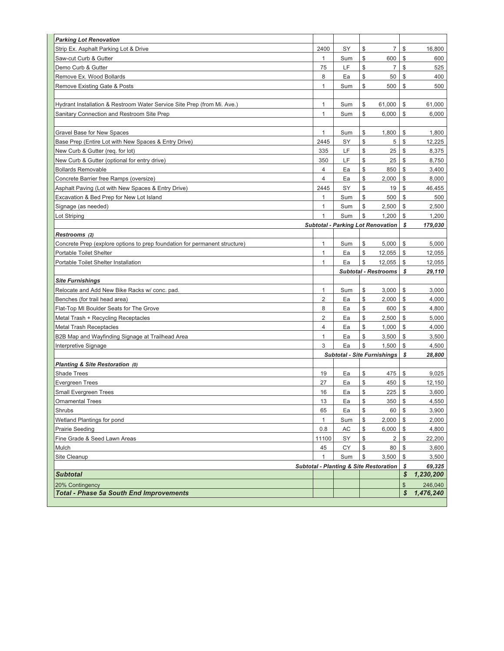| <b>Parking Lot Renovation</b>                                              |                |     |               |                                                   |                    |                      |
|----------------------------------------------------------------------------|----------------|-----|---------------|---------------------------------------------------|--------------------|----------------------|
| Strip Ex. Asphalt Parking Lot & Drive                                      | 2400           | SY  | \$            | 7                                                 | \$                 | 16,800               |
| Saw-cut Curb & Gutter                                                      | 1              | Sum | \$            | 600                                               | \$                 | 600                  |
| Demo Curb & Gutter                                                         | 75             | LF  | \$            | $\overline{7}$                                    | \$                 | 525                  |
| Remove Ex. Wood Bollards                                                   | 8              | Ea  | \$            | 50                                                | \$                 | 400                  |
| Remove Existing Gate & Posts                                               | $\mathbf{1}$   | Sum | \$            | 500                                               | \$                 | 500                  |
|                                                                            |                |     |               |                                                   |                    |                      |
| Hydrant Installation & Restroom Water Service Site Prep (from Mi. Ave.)    | 1              | Sum | \$            | 61,000                                            | \$                 | 61,000               |
| Sanitary Connection and Restroom Site Prep                                 | $\mathbf{1}$   | Sum | \$            | 6,000                                             | \$                 | 6,000                |
|                                                                            |                |     |               |                                                   |                    |                      |
| Gravel Base for New Spaces                                                 | 1              | Sum | \$            | 1,800                                             | \$                 | 1,800                |
| Base Prep (Entire Lot with New Spaces & Entry Drive)                       | 2445           | SY  | \$            | 5                                                 | \$                 | 12,225               |
| New Curb & Gutter (req. for lot)                                           | 335            | LF  | \$            | 25                                                | \$                 | 8,375                |
| New Curb & Gutter (optional for entry drive)                               | 350            | LF  | \$            | 25                                                | \$                 | 8,750                |
| <b>Bollards Removable</b>                                                  | $\overline{4}$ | Ea  | \$            | 850                                               | \$                 | 3,400                |
| Concrete Barrier free Ramps (oversize)                                     | $\overline{4}$ | Ea  | \$            | 2,000                                             | \$                 | 8,000                |
| Asphalt Paving (Lot with New Spaces & Entry Drive)                         | 2445           | SY  | \$            | 19                                                | \$                 | 46,455               |
| Excavation & Bed Prep for New Lot Island                                   | 1              | Sum | \$            | 500                                               | \$                 | 500                  |
| Signage (as needed)                                                        | 1              | Sum | \$            | 2,500                                             | \$                 | 2,500                |
| Lot Striping                                                               | $\mathbf{1}$   | Sum | \$            | 1,200                                             | \$                 | 1,200                |
|                                                                            |                |     |               | <b>Subtotal - Parking Lot Renovation</b>          | S                  | 179,030              |
| Restrooms (2)                                                              |                |     |               |                                                   |                    |                      |
| Concrete Prep (explore options to prep foundation for permanent structure) | 1              | Sum | \$            | 5,000                                             | \$                 | 5,000                |
| Portable Toilet Shelter                                                    | $\mathbf{1}$   | Ea  | \$            | 12,055                                            | \$                 | 12,055               |
| Portable Toilet Shelter Installation                                       | $\mathbf{1}$   | Ea  | \$            | 12,055                                            | \$                 | 12,055               |
|                                                                            |                |     |               |                                                   |                    |                      |
|                                                                            |                |     |               | <b>Subtotal - Restrooms</b>                       | \$                 | 29,110               |
| <b>Site Furnishings</b>                                                    |                |     |               |                                                   |                    |                      |
| Relocate and Add New Bike Racks w/ conc. pad.                              | 1              | Sum | \$            | 3,000                                             | \$                 | 3,000                |
| Benches (for trail head area)                                              | $\overline{2}$ | Ea  | \$            | 2,000                                             | \$                 | 4,000                |
| Flat-Top MI Boulder Seats for The Grove                                    | 8              | Ea  | \$            | 600                                               | \$                 | 4,800                |
| Metal Trash + Recycling Receptacles                                        | $\overline{2}$ | Ea  | \$            | 2,500                                             | \$                 | 5,000                |
| <b>Metal Trash Receptacles</b>                                             | $\overline{4}$ | Ea  | \$            | 1,000                                             | \$                 | 4,000                |
| B2B Map and Wayfinding Signage at Trailhead Area                           | $\mathbf{1}$   | Ea  | \$            | 3,500                                             | \$                 | 3,500                |
| Interpretive Signage                                                       | 3              | Ea  | \$            | 1,500                                             | \$                 | 4,500                |
|                                                                            |                |     |               | <b>Subtotal - Site Furnishings</b>                | \$                 | 28,800               |
| Planting & Site Restoration (0)                                            |                |     |               |                                                   |                    |                      |
| <b>Shade Trees</b>                                                         | 19             | Ea  | \$            | 475                                               | \$                 | 9,025                |
| <b>Evergreen Trees</b>                                                     | 27             | Ea  | \$            | 450                                               | \$                 | 12,150               |
| <b>Small Evergreen Trees</b>                                               | 16             | Ea  | \$            | 225                                               | \$                 | 3,600                |
| <b>Ornamental Trees</b>                                                    | 13             | Ea  | $\frac{1}{2}$ | 350                                               | $\frac{1}{2}$      | 4,550                |
| Shrubs                                                                     | 65             | Ea  | \$            | 60                                                | \$                 | 3,900                |
| Wetland Plantings for pond                                                 | $\mathbf{1}$   | Sum | \$            | 2,000                                             | \$                 | 2,000                |
| Prairie Seeding                                                            | 0.8            | AC  | \$            | 6,000                                             | \$                 | 4,800                |
| Fine Grade & Seed Lawn Areas                                               | 11100          | SY  | \$            | 2                                                 | \$                 | 22,200               |
| Mulch                                                                      | 45             | СY  | \$            | 80                                                | \$                 | 3,600                |
| Site Cleanup                                                               | 1              | Sum | \$            | 3,500                                             | \$                 | 3,500                |
|                                                                            |                |     |               | <b>Subtotal - Planting &amp; Site Restoration</b> | \$<br>S            | 69,325               |
| <b>Subtotal</b>                                                            |                |     |               |                                                   |                    | 1,230,200            |
| 20% Contingency<br><b>Total - Phase 5a South End Improvements</b>          |                |     |               |                                                   | $\mathbb{S}$<br>\$ | 246,040<br>1,476,240 |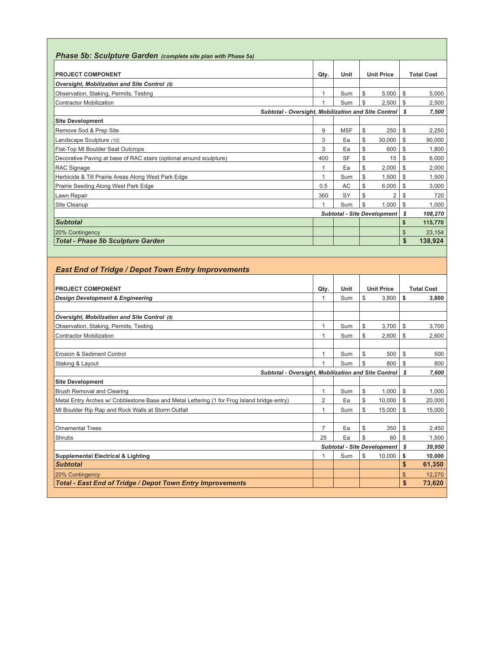| <b>Phase 5b: Sculpture Garden</b> (complete site plan with Phase 5a) |      |            |    |                                    |    |         |  |  |  |  |  |  |  |  |  |  |  |  |  |                   |
|----------------------------------------------------------------------|------|------------|----|------------------------------------|----|---------|--|--|--|--|--|--|--|--|--|--|--|--|--|-------------------|
| <b>PROJECT COMPONENT</b>                                             | Qty. | Unit       |    | <b>Unit Price</b>                  |    |         |  |  |  |  |  |  |  |  |  |  |  |  |  | <b>Total Cost</b> |
| Oversight, Mobilization and Site Control (0)                         |      |            |    |                                    |    |         |  |  |  |  |  |  |  |  |  |  |  |  |  |                   |
| Observation, Staking, Permits, Testing                               | 1    | Sum        | \$ | 5,000                              | \$ | 5,000   |  |  |  |  |  |  |  |  |  |  |  |  |  |                   |
| <b>Contractor Mobilization</b>                                       | 1    | Sum        | \$ | 2,500                              | \$ | 2,500   |  |  |  |  |  |  |  |  |  |  |  |  |  |                   |
| Subtotal - Oversight, Mobilization and Site Control                  |      |            |    |                                    | S  | 7,500   |  |  |  |  |  |  |  |  |  |  |  |  |  |                   |
| <b>Site Development</b>                                              |      |            |    |                                    |    |         |  |  |  |  |  |  |  |  |  |  |  |  |  |                   |
| Remove Sod & Prep Site                                               | 9    | <b>MSF</b> | \$ | 250                                | \$ | 2,250   |  |  |  |  |  |  |  |  |  |  |  |  |  |                   |
| Landscape Sculpture (10)                                             | 3    | Ea         | \$ | 30,000                             | \$ | 90,000  |  |  |  |  |  |  |  |  |  |  |  |  |  |                   |
| Flat-Top MI Boulder Seat Outcrops                                    | 3    | Ea         | \$ | 600                                | \$ | 1,800   |  |  |  |  |  |  |  |  |  |  |  |  |  |                   |
| Decorative Paving at base of RAC stairs (optional around sculpture)  | 400  | <b>SF</b>  | \$ | 15                                 | \$ | 6.000   |  |  |  |  |  |  |  |  |  |  |  |  |  |                   |
| <b>RAC Signage</b>                                                   |      | Ea         | \$ | 2,000                              | \$ | 2,000   |  |  |  |  |  |  |  |  |  |  |  |  |  |                   |
| Herbicide & Till Prairie Areas Along West Park Edge                  | 1    | Sum        | \$ | 1,500                              | \$ | 1,500   |  |  |  |  |  |  |  |  |  |  |  |  |  |                   |
| Prairie Seeding Along West Park Edge                                 | 0.5  | AC         | \$ | 6,000                              | \$ | 3,000   |  |  |  |  |  |  |  |  |  |  |  |  |  |                   |
| Lawn Repair                                                          | 360  | SY         | S  | $\overline{2}$                     | \$ | 720     |  |  |  |  |  |  |  |  |  |  |  |  |  |                   |
| Site Cleanup                                                         | 1    | Sum        | \$ | 1.000                              | \$ | 1.000   |  |  |  |  |  |  |  |  |  |  |  |  |  |                   |
|                                                                      |      |            |    | <b>Subtotal - Site Development</b> | S  | 108,270 |  |  |  |  |  |  |  |  |  |  |  |  |  |                   |
| <b>Subtotal</b>                                                      |      |            |    |                                    | \$ | 115,770 |  |  |  |  |  |  |  |  |  |  |  |  |  |                   |
| 20% Contingency                                                      |      |            |    |                                    | \$ | 23,154  |  |  |  |  |  |  |  |  |  |  |  |  |  |                   |
| <b>Total - Phase 5b Sculpture Garden</b>                             |      |            |    |                                    | \$ | 138,924 |  |  |  |  |  |  |  |  |  |  |  |  |  |                   |

# *East End of Tridge / Depot Town Entry Improvements*

| <b>PROJECT COMPONENT</b>                                                                    | Qty.           | Unit |    | <b>Unit Price</b>                  |              |        |  | <b>Total Cost</b> |
|---------------------------------------------------------------------------------------------|----------------|------|----|------------------------------------|--------------|--------|--|-------------------|
| <b>Design Development &amp; Engineering</b>                                                 |                | Sum  | S  | 3.800                              | \$           | 3,800  |  |                   |
|                                                                                             |                |      |    |                                    |              |        |  |                   |
| Oversight, Mobilization and Site Control (0)                                                |                |      |    |                                    |              |        |  |                   |
| Observation, Staking, Permits, Testing                                                      |                | Sum  | \$ | 3,700                              | \$           | 3,700  |  |                   |
| <b>Contractor Mobilization</b>                                                              |                | Sum  | \$ | 2,600                              | \$           | 2,600  |  |                   |
|                                                                                             |                |      |    |                                    |              |        |  |                   |
| Erosion & Sediment Control                                                                  |                | Sum  | \$ | 500                                | \$           | 500    |  |                   |
| Staking & Layout                                                                            |                | Sum  | \$ | 800                                | \$           | 800    |  |                   |
| Subtotal - Oversight, Mobilization and Site Control                                         |                |      |    | s                                  | 7.600        |        |  |                   |
| <b>Site Development</b>                                                                     |                |      |    |                                    |              |        |  |                   |
| <b>Brush Removal and Clearing</b>                                                           |                | Sum  | \$ | 1.000                              | \$           | 1.000  |  |                   |
| Metal Entry Arches w/ Cobblestone Base and Metal Lettering (1 for Frog Island bridge entry) | $\overline{2}$ | Ea   | \$ | 10,000                             | \$           | 20,000 |  |                   |
| MI Boulder Rip Rap and Rock Walls at Storm Outfall                                          |                | Sum  | \$ | 15.000                             | \$           | 15,000 |  |                   |
|                                                                                             |                |      |    |                                    |              |        |  |                   |
| <b>Ornamental Trees</b>                                                                     | $\overline{7}$ | Ea   | \$ | 350                                | \$           | 2,450  |  |                   |
| Shrubs                                                                                      | 25             | Ea   | \$ | 60                                 | \$           | 1.500  |  |                   |
|                                                                                             |                |      |    | <b>Subtotal - Site Development</b> | s            | 39,950 |  |                   |
| <b>Supplemental Electrical &amp; Lighting</b>                                               | 1              | Sum  | \$ | 10,000                             | \$           | 10,000 |  |                   |
| <b>Subtotal</b>                                                                             |                |      |    |                                    | \$           | 61,350 |  |                   |
| 20% Contingency                                                                             |                |      |    |                                    | \$           | 12,270 |  |                   |
| <b>Total - East End of Tridge / Depot Town Entry Improvements</b>                           |                |      |    |                                    | $\mathbf{s}$ | 73,620 |  |                   |
|                                                                                             |                |      |    |                                    |              |        |  |                   |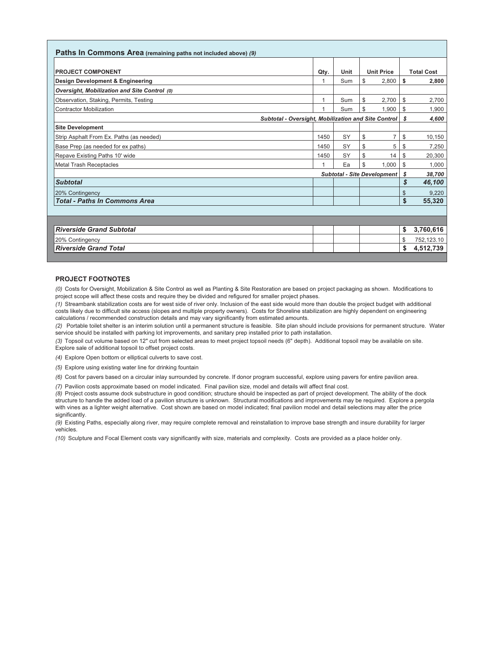| Paths In Commons Area (remaining paths not included above) (9) |      |      |                                    |     |                   |
|----------------------------------------------------------------|------|------|------------------------------------|-----|-------------------|
| <b>PROJECT COMPONENT</b>                                       | Qty. | Unit | <b>Unit Price</b>                  |     | <b>Total Cost</b> |
| Design Development & Engineering                               |      | Sum  | \$<br>2,800                        | S   | 2,800             |
| Oversight, Mobilization and Site Control (0)                   |      |      |                                    |     |                   |
| Observation, Staking, Permits, Testing                         |      | Sum  | \$<br>2,700                        | \$  | 2,700             |
| Contractor Mobilization                                        |      | Sum  | \$<br>1.900                        | \$  | 1,900             |
| Subtotal - Oversight, Mobilization and Site Control            |      |      |                                    | s   | 4,600             |
| <b>Site Development</b>                                        |      |      |                                    |     |                   |
| Strip Asphalt From Ex. Paths (as needed)                       | 1450 | SY   | \$<br>7                            | \$  | 10,150            |
| Base Prep (as needed for ex paths)                             | 1450 | SY   | \$<br>5                            | S   | 7,250             |
| Repave Existing Paths 10' wide                                 | 1450 | SY   | \$<br>14                           | \$. | 20,300            |
| Metal Trash Receptacles                                        |      | Ea   | \$<br>1.000                        | S   | 1,000             |
|                                                                |      |      | <b>Subtotal - Site Development</b> | \$  | 38,700            |
| <b>Subtotal</b>                                                |      |      |                                    | \$  | 46,100            |
| 20% Contingency                                                |      |      |                                    | \$  | 9,220             |
| <b>Total - Paths In Commons Area</b>                           |      |      |                                    | \$  | 55,320            |
|                                                                |      |      |                                    |     |                   |
|                                                                |      |      |                                    |     |                   |
| <b>Riverside Grand Subtotal</b>                                |      |      |                                    | \$  | 3,760,616         |
| 20% Contingency                                                |      |      |                                    | \$  | 752,123.10        |
| <b>Riverside Grand Total</b>                                   |      |      |                                    | \$  | 4,512,739         |

### **PROJECT FOOTNOTES**

*(0)* Costs for Oversight, Mobilization & Site Control as well as Planting & Site Restoration are based on project packaging as shown. Modifications to project scope will affect these costs and require they be divided and refigured for smaller project phases.

*(1)* Streambank stabilization costs are for west side of river only. Inclusion of the east side would more than double the project budget with additional costs likely due to difficult site access (slopes and multiple property owners). Costs for Shoreline stabilization are highly dependent on engineering calculations / recommended construction details and may vary significantly from estimated amounts.

*(2)* Portable toilet shelter is an interim solution until a permanent structure is feasible. Site plan should include provisions for permanent structure. Water service should be installed with parking lot improvements, and sanitary prep installed prior to path installation.

*(3)* Topsoil cut volume based on 12" cut from selected areas to meet project topsoil needs (6" depth). Additional topsoil may be available on site. Explore sale of additional topsoil to offset project costs.

*(4)* Explore Open bottom or elliptical culverts to save cost.

*(5)* Explore using existing water line for drinking fountain

*(6)* Cost for pavers based on a circular inlay surrounded by concrete. If donor program successful, explore using pavers for entire pavilion area.

*(7)* Pavilion costs approximate based on model indicated. Final pavilion size, model and details will affect final cost.

*(8)* Project costs assume dock substructure in good condition; structure should be inspected as part of project development. The ability of the dock structure to handle the added load of a pavilion structure is unknown. Structural modifications and improvements may be required. Explore a pergola with vines as a lighter weight alternative. Cost shown are based on model indicated; final pavilion model and detail selections may alter the price significantly.

*(9)* Existing Paths, especially along river, may require complete removal and reinstallation to improve base strength and insure durability for larger vehicles.

*(10)* Sculpture and Focal Element costs vary significantly with size, materials and complexity. Costs are provided as a place holder only.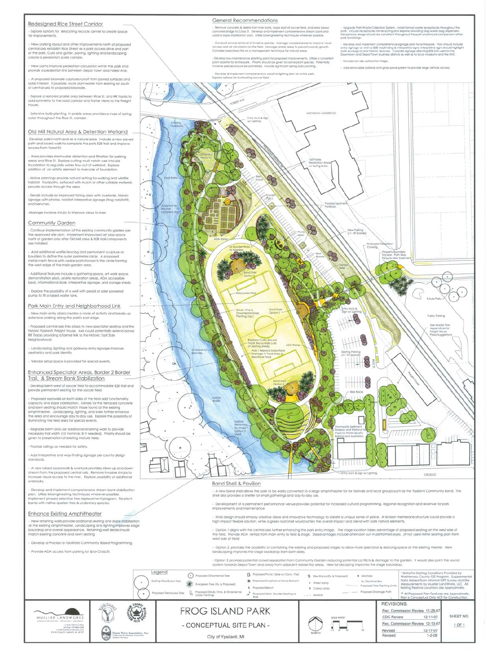#### Redesigned Rice Street Corridor

tre options for relocating recycle center to create space for improvements

.<br>New parking layout and other improvements north of proposed<br>sntrat axis establish Rice Street as a park access drive and part of the park. Curb and gutter, paving, lighting and landscaping<br>create a pedestrian scale corridor,

New paths improve pedestrian circulation within the park and provide a pedestrian link between Depat Town and Forest Ave.

.<br>A proposed bioswale captures runoff from paved surfaces and<br>adds interest, if possible, route stormwater from existing lot south of central axis to proposed bioswale.

- Explore a restored prairie area between Rice St. and RR tracks to<br>add symmetry to the road corridor and frame views to the Freight House

- Extensive builb planting in prairie areas provides a mass of spring<br>color throughout the Rice St, corridor.

#### Old Mill Natural Area & Detention Wetland

-Develop park's north end as a natural area. Include a new paved<br>path and board walk to complete the park 828 trail and improve<br>access from Forest St.

Area provides stormwater detention and filtration for parking<br>reas and Rice St.: Explore cutting multi-notch weir into ald<br>pundation to regulate water flow out of westand.. Explore<br>didition of an artistic element to river

ative plantings provide natural setting for walking and wildlife<br>bifat. Footpaths, surfoced with mulch or other suitable mater<br>wide access through the area.

- Details include an improved fishing area with overlooks, historic<br>Lignage with photos, habitat interpretive signage (frog habitat?),<br>and benches.

e invasive shrubs to improve views to rive

#### Community Garden

- Continue implementation of the existing community garden per<br>the approved site plan, Implement improvised art play space<br>nanth of garden only after Old Mill area & 828 trail components<br>are installed.

. Add additional wattle fencing and permanent sculpture or<br>poulders to define the outer perimeter circle. A proposed<br>metal-mesh fence with cedar posts fransects the circle forming<br>the west edge of the main garden area.

- Additional features include a gathering space, art work space.<br>demorstration plots, prairie restoration areas. ADA accessible<br>beds, informational klosk, interpretive signage, and storage sheds.

.<br>Explore the possibility of a well with pedal or solar powered.<br>Imp to fill a raised water tank.

Park Main Entry and Neighborhood Link

New main entry plaza creates a node of activity and breaks up extensive parking along the park's east edge.

Proposed central axis links plaza to new spectator seating and the toric Ypsilanti Freight House. Axis could potentially extend across RR Tracks providing a formal link to the Historic East Side Neighborhood.

- Landscaping, lighting and goteway entry signage improve<br>aesthetics and park identity.

Vendor setup space is provided for special events.

Enhanced Spectator Areas, Border 2 Border Trail, & Stream Bank Stabilization

- Develop berm west of soccer field to accommodate 828 trail and manent seating for the so cont field.

sed seatwals on both sides of the field add functions Proposed seatwate an both sides of the field add functionally.<br>Capacity and slope stabilization. Details for the teracced concrete<br>and lawn seating should match those found at the existing<br>prophiliteation. Londicaping, lig

legrade berm and use additional retaining walls to provide<br>cessary trail width (10' nominal; 8' if needed). Priority should be<br>ren to preservation of existing mature trees.

Provide railings as needed for safety

Add interpretive and way-finding signage per county design

- A new raised boardwalk & overlook provides views up and down<br>stream from the propased central axis. Remove invasive shrubs to<br>Increase visual access to the river. Explore possibility of additional

- Develop and implement comprehensive stream bank stabilization<br>plan, Ultize bioengineering techniques wherever posible<br>implement phased selective free replacement program. Re-plant<br>banks with native ripatian free & unders

### **Enhance Existing Amphitheater**

- New retaining walls provide additional seating and slope stabilization<br>at the existing amphitheater, Landscaping and lighting improves stage<br>backdrop and overall appearance. Retaining wall detail should<br>match existing co

- Develop a Process to Facilitate Community Based Programming.
- Provide ADA access from parking lot &/or Cross 5t



Remove concrete & debra from fiver bonk, slope east of soccer field, and area by horete bridge to Cross \$1. Develop and implement comprehensive thream bank and<br>and slope stabilization plan. Utilize bioengineering techniques wherever passible.

oded great to in Conduct annual removal of invasive species. Manage wo .<br>Cess and air circulation on the field. Manage prairie areas to prevent woody growth.<br>niider prescribed fire as a management technique for natural areas.

.<br>Develop low-maintenance planting plans for proposed improvements. Utilize a consiste<br>iant palette for entire park. Priority should be given to native plant species. Potenfially<br>ivisilve species should be prohibited. Incl

.<br>pak: "holude reachdoles for recycling and strings havaile receptacles throughout the<br>paceptacle reachdoles for recycling and strings providing dog-watte bag dispensent<br>Receptacle design should be consistent throughout th

levelop and implément comprehensive signage plan for entre park. Plan should inc<br>hy signage as well as \$28 wayfinding & interpretive signs, interpretive signs should hig<br>th ecological and historic teatures. Consider signag

.<br>Wide non-sip surface for hidge

olards and grass-po



\* Data For Exiting Conditions Provided by<br>Wathtenaw County GIS Program. Supplement<br>Data Addet from informati GPS Survey and Ste<br>Measurements by Mueller LandWorks. LLC\_All<br>Exiting Feature Locations are Approximate. C Proposed Omamental Tree 5 Bie Rocks (Ex. & Proposed) . Manhole ● Proposed Sculpture or Focal Bement **B**. Bechical Bo ×.  $+$  SheetLarro Evergreen Tree (Ex. & Proposed)  $\mathcal{P}$  is an in  $\omega$  .  $\beta$ posed Tree Planting Limits 1 Proposed Bench  $\bullet$  Cobraigmp us free Q Proposed Shuts, Vine, & Omamental a Proposed Mich. Boulder Seating or Wall - Proposed Drainage Path  $\ddot{\phantom{1}}$ \*\* All Proposed Pian Features are Appr  $\ldots$  solords Yan is Conceptual Only NOT **REVISIONS: FROG ISLAND PARK** Rec. Commission Review 11-29-07 SHEET NO. MUELLER LANDWORKS CDC Review 12-11-07 - CONCEPTUAL SITE PLAN -Rec. Commission Review 12-13-07  $1$  OF  $1$ PUSS 734 216 256 6 **USIN** Revised  $12-17-07$ <br>1-2-08 City of Ypsilanti, MI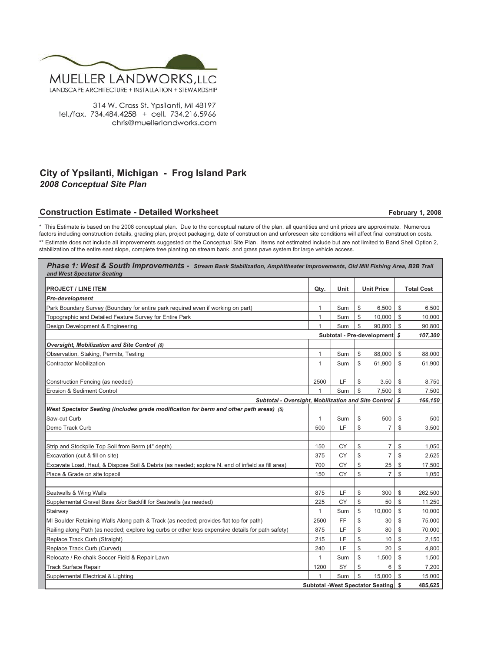![](_page_14_Picture_0.jpeg)

314 W. Cross St. Ypsilanti, MI 48197 tel./fax. 734.484.4258 + cell. 734.216.5966 chris@muellerlandworks.com

# **City of Ypsilanti, Michigan - Frog Island Park**

*2008 Conceptual Site Plan*

# **Construction Estimate - Detailed Worksheet**

## **February 1, 2008**

\* This Estimate is based on the 2008 conceptual plan. Due to the conceptual nature of the plan, all quantities and unit prices are approximate. Numerous factors including construction details, grading plan, project packaging, date of construction and unforeseen site conditions will affect final construction costs. \*\* Estimate does not include all improvements suggested on the Conceptual Site Plan. Items not estimated include but are not limited to Band Shell Option 2, stabilization of the entire east slope, complete tree planting on stream bank, and grass pave system for large vehicle access.

| Phase 1: West & South Improvements - Stream Bank Stabilization, Amphitheater Improvements, Old Mill Fishing Area, B2B Trail<br>and West Spectator Seating |                                         |      |              |                               |    |                   |  |
|-----------------------------------------------------------------------------------------------------------------------------------------------------------|-----------------------------------------|------|--------------|-------------------------------|----|-------------------|--|
|                                                                                                                                                           |                                         |      |              |                               |    |                   |  |
| <b>PROJECT / LINE ITEM</b>                                                                                                                                | Qty.                                    | Unit |              | <b>Unit Price</b>             |    | <b>Total Cost</b> |  |
| <b>Pre-development</b>                                                                                                                                    |                                         |      |              |                               |    |                   |  |
| Park Boundary Survey (Boundary for entire park required even if working on part)                                                                          | 1                                       | Sum  | \$           | 6,500                         | \$ | 6,500             |  |
| Topographic and Detailed Feature Survey for Entire Park                                                                                                   | 1                                       | Sum  | \$           | 10,000                        | \$ | 10,000            |  |
| Design Development & Engineering                                                                                                                          | 1                                       | Sum  | \$           | 90,800                        | \$ | 90,800            |  |
|                                                                                                                                                           |                                         |      |              | Subtotal - Pre-development \$ |    | 107,300           |  |
| Oversight, Mobilization and Site Control (0)                                                                                                              |                                         |      |              |                               |    |                   |  |
| Observation, Staking, Permits, Testing                                                                                                                    | $\mathbf{1}$                            | Sum  | \$           | 88,000                        | \$ | 88,000            |  |
| <b>Contractor Mobilization</b>                                                                                                                            | 1                                       | Sum  | \$           | 61,900                        | \$ | 61,900            |  |
| Construction Fencing (as needed)                                                                                                                          | 2500                                    | LF   | \$           | 3.50                          | \$ | 8,750             |  |
| Erosion & Sediment Control                                                                                                                                | $\mathbf{1}$                            | Sum  | $\mathbb S$  | 7,500                         | \$ | 7,500             |  |
| Subtotal - Oversight, Mobilization and Site Control<br>s                                                                                                  |                                         |      |              |                               |    |                   |  |
| West Spectator Seating (includes grade modification for berm and other path areas) (5)                                                                    |                                         |      |              |                               |    |                   |  |
| Saw-cut Curb                                                                                                                                              | 1                                       | Sum  | \$           | 500                           | \$ | 500               |  |
| Demo Track Curb                                                                                                                                           | 500                                     | LF   | \$           | $\overline{7}$                | \$ | 3,500             |  |
|                                                                                                                                                           |                                         |      |              |                               |    |                   |  |
| Strip and Stockpile Top Soil from Berm (4" depth)                                                                                                         | 150                                     | СY   | \$           | 7                             | \$ | 1,050             |  |
| Excavation (cut & fill on site)                                                                                                                           | 375                                     | СY   | \$           | 7                             | \$ | 2,625             |  |
| Excavate Load, Haul, & Dispose Soil & Debris (as needed; explore N. end of infield as fill area)                                                          | 700                                     | CY   | $\mathbb S$  | 25                            | \$ | 17,500            |  |
| Place & Grade on site topsoil                                                                                                                             | 150                                     | CY   | \$           | $\overline{7}$                | \$ | 1,050             |  |
|                                                                                                                                                           |                                         |      |              |                               |    |                   |  |
| Seatwalls & Wing Walls                                                                                                                                    | 875                                     | LF   | \$           | 300                           | \$ | 262,500           |  |
| Supplemental Gravel Base &/or Backfill for Seatwalls (as needed)                                                                                          | 225                                     | CY   | $\mathbb S$  | 50                            | \$ | 11,250            |  |
| Stairway                                                                                                                                                  | 1                                       | Sum  | $\mathbb{S}$ | 10,000                        | \$ | 10,000            |  |
| MI Boulder Retaining Walls Along path & Track (as needed; provides flat top for path)                                                                     | 2500                                    | FF   | \$           | 30                            | \$ | 75,000            |  |
| Railing along Path (as needed; explore log curbs or other less expensive details for path safety)                                                         | 875                                     | LF   | \$           | 80                            | \$ | 70,000            |  |
| Replace Track Curb (Straight)                                                                                                                             | 215                                     | LF   | \$           | 10                            | \$ | 2,150             |  |
| Replace Track Curb (Curved)                                                                                                                               | 240                                     | LF   | \$           | 20                            | \$ | 4,800             |  |
| Relocate / Re-chalk Soccer Field & Repair Lawn                                                                                                            | $\mathbf{1}$                            | Sum  | \$           | 1,500                         | \$ | 1,500             |  |
| <b>Track Surface Repair</b>                                                                                                                               | 1200                                    | SY   | \$           | 6                             | \$ | 7,200             |  |
| Supplemental Electrical & Lighting                                                                                                                        |                                         | Sum  | \$           | 15,000                        | \$ | 15,000            |  |
|                                                                                                                                                           | <b>Subtotal -West Spectator Seating</b> |      |              |                               |    | 485,625           |  |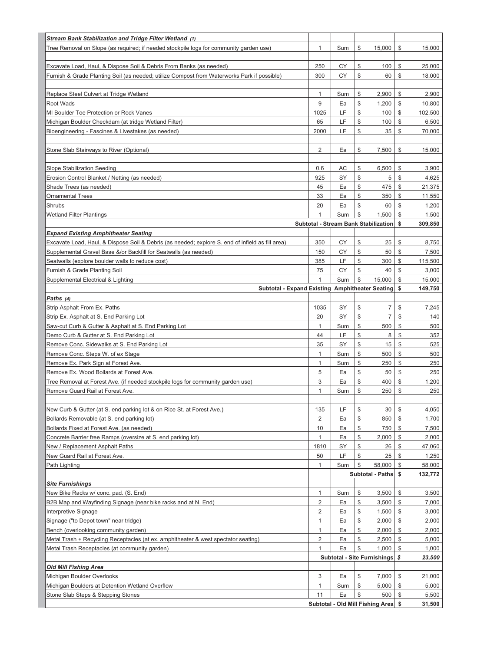| Stream Bank Stabilization and Tridge Filter Wetland (1)                                                                    |                   |                                  |                                             |                |                              |            |
|----------------------------------------------------------------------------------------------------------------------------|-------------------|----------------------------------|---------------------------------------------|----------------|------------------------------|------------|
| Tree Removal on Slope (as required; if needed stockpile logs for community garden use)                                     | 1                 | Sum                              | \$                                          | 15,000         | \$                           | 15,000     |
|                                                                                                                            |                   |                                  |                                             |                |                              |            |
| Excavate Load, Haul, & Dispose Soil & Debris From Banks (as needed)                                                        | 250               | CY                               | \$                                          | 100            | \$                           | 25,000     |
| Furnish & Grade Planting Soil (as needed; utilize Compost from Waterworks Park if possible)                                | 300               | CY                               | \$                                          | 60             | \$                           | 18,000     |
|                                                                                                                            |                   |                                  |                                             |                |                              |            |
| Replace Steel Culvert at Tridge Wetland                                                                                    | 1                 | Sum                              | \$                                          | 2,900          | \$                           | 2,900      |
| Root Wads                                                                                                                  | 9                 | Ea                               | \$                                          | 1,200          | \$                           | 10,800     |
| MI Boulder Toe Protection or Rock Vanes                                                                                    | 1025              | LF                               | \$                                          | 100            | \$                           | 102,500    |
| Michigan Boulder Checkdam (at tridge Wetland Filter)                                                                       | 65                | LF                               | \$                                          | 100            | \$                           | 6,500      |
| Bioengineering - Fascines & Livestakes (as needed)                                                                         | 2000              | LF                               | \$                                          | 35             | \$                           | 70,000     |
| Stone Slab Stairways to River (Optional)                                                                                   | 2                 | Ea                               | \$                                          | 7.500          | \$                           | 15,000     |
|                                                                                                                            |                   |                                  |                                             |                |                              |            |
| Slope Stabilization Seeding                                                                                                | 0.6               | AC                               | \$                                          | 6,500          | \$                           | 3,900      |
| Erosion Control Blanket / Netting (as needed)                                                                              | 925               | SY                               | \$                                          | 5              | \$                           | 4,625      |
| Shade Trees (as needed)                                                                                                    | 45                | Ea                               | \$                                          | 475            | \$                           | 21,375     |
| <b>Ornamental Trees</b>                                                                                                    | 33                | Ea                               | \$                                          | 350            | \$                           | 11,550     |
| Shrubs                                                                                                                     | 20                | Ea                               | \$                                          | 60             | \$                           | 1,200      |
| <b>Wetland Filter Plantings</b>                                                                                            | 1                 | Sum                              | \$                                          | 1,500          | \$                           | 1,500      |
|                                                                                                                            |                   |                                  | <b>Subtotal - Stream Bank Stabilization</b> |                | \$                           | 309,850    |
| <b>Expand Existing Amphitheater Seating</b>                                                                                |                   |                                  |                                             |                |                              |            |
| Excavate Load, Haul, & Dispose Soil & Debris (as needed; explore S. end of infield as fill area)                           | 350               | CY                               | \$                                          | 25             | \$                           | 8,750      |
| Supplemental Gravel Base &/or Backfill for Seatwalls (as needed)                                                           | 150               | СY                               | \$                                          | 50             | \$                           | 7,500      |
| Seatwalls (explore boulder walls to reduce cost)                                                                           | 385               | LF                               | \$                                          | 300            | \$                           | 115,500    |
| Furnish & Grade Planting Soil                                                                                              | 75                | СY                               | \$                                          | 40             | \$                           | 3,000      |
| Supplemental Electrical & Lighting                                                                                         | 1                 | Sum                              | \$                                          | 15,000         | \$                           | 15,000     |
| Subtotal - Expand Existing Amphitheater Seating                                                                            |                   |                                  |                                             |                |                              | 149,750    |
| Paths (4)                                                                                                                  |                   |                                  |                                             |                |                              |            |
| Strip Asphalt From Ex. Paths                                                                                               | 1035              | SY                               | \$                                          | $\overline{7}$ | $\mathbb{S}$                 | 7,245      |
| Strip Ex. Asphalt at S. End Parking Lot                                                                                    | 20                | SY                               | \$                                          | $\overline{7}$ | \$                           | 140        |
| Saw-cut Curb & Gutter & Asphalt at S. End Parking Lot                                                                      | 1                 | Sum                              | \$                                          | 500            | \$                           | 500        |
| Demo Curb & Gutter at S. End Parking Lot                                                                                   | 44                | LF                               | \$                                          | 8              | \$                           | 352        |
| Remove Conc. Sidewalks at S. End Parking Lot                                                                               | 35                | SY                               | \$                                          | 15             | \$                           | 525        |
| Remove Conc. Steps W. of ex Stage                                                                                          | $\mathbf{1}$      | Sum                              | \$                                          | 500            | \$                           | 500        |
| Remove Ex. Park Sign at Forest Ave.                                                                                        | $\mathbf{1}$<br>5 | Sum                              | \$<br>\$                                    | 250            | $\mathbb{S}$<br>$\mathbb{S}$ | 250<br>250 |
| Remove Ex. Wood Bollards at Forest Ave.<br>Tree Removal at Forest Ave. (if needed stockpile logs for community garden use) | 3                 | Ea<br>Ea                         | \$                                          | 50<br>400      | \$                           | 1,200      |
| Remove Guard Rail at Forest Ave.                                                                                           | $\mathbf{1}$      | Sum                              | \$                                          | 250            | \$                           | 250        |
|                                                                                                                            |                   |                                  |                                             |                |                              |            |
| New Curb & Gutter (at S. end parking lot & on Rice St. at Forest Ave.)                                                     | 135               | LF                               | \$                                          | 30             | \$                           | 4,050      |
| Bollards Removable (at S. end parking lot)                                                                                 | 2                 | Ea                               | \$                                          | 850            | \$                           | 1,700      |
| Bollards Fixed at Forest Ave. (as needed)                                                                                  | 10                | Ea                               | \$                                          | 750            | \$                           | 7,500      |
| Concrete Barrier free Ramps (oversize at S. end parking lot)                                                               | 1                 | Ea                               | \$                                          | 2,000          | \$                           | 2,000      |
| New / Replacement Asphalt Paths                                                                                            | 1810              | SY                               | \$                                          | 26             | $\mathcal{S}$                | 47,060     |
| New Guard Rail at Forest Ave.                                                                                              | 50                | LF                               | \$                                          | 25             | $\frac{1}{2}$                | 1,250      |
| Path Lighting                                                                                                              | $\mathbf{1}$      | Sum                              | \$                                          | 58,000         | \$                           | 58,000     |
|                                                                                                                            |                   |                                  | Subtotal - Paths \$                         |                |                              | 132,772    |
| <b>Site Furnishings</b>                                                                                                    |                   |                                  |                                             |                |                              |            |
| New Bike Racks w/ conc. pad. (S. End)                                                                                      | 1                 | Sum                              | \$                                          | 3,500          | \$                           | 3,500      |
| B2B Map and Wayfinding Signage (near bike racks and at N. End)                                                             | 2                 | Ea                               | \$                                          | 3,500          | \$                           | 7,000      |
| Interpretive Signage                                                                                                       | 2                 | Ea                               | \$                                          | 1,500          | \$                           | 3,000      |
| Signage ("to Depot town" near tridge)                                                                                      | $\mathbf{1}$      | Ea                               | \$                                          | 2,000          | $\mathbb{S}$                 | 2,000      |
| Bench (overlooking community garden)                                                                                       | $\mathbf{1}$      | Ea                               | \$                                          | 2,000          | \$                           | 2,000      |
| Metal Trash + Recycling Receptacles (at ex. amphitheater & west spectator seating)                                         | 2                 | Ea                               | \$                                          | 2,500          | \$                           | 5,000      |
| Metal Trash Receptacles (at community garden)                                                                              | $\mathbf{1}$      | Ea                               | \$                                          | 1,000          | \$                           | 1,000      |
|                                                                                                                            |                   | Subtotal - Site Furnishings   \$ |                                             |                |                              | 23,500     |
| <b>Old Mill Fishing Area</b>                                                                                               |                   |                                  |                                             |                |                              |            |
| Michigan Boulder Overlooks                                                                                                 | 3                 | Ea                               | \$                                          | 7,000          | \$                           | 21,000     |
| Michigan Boulders at Detention Wetland Overflow                                                                            | 1                 | Sum                              | \$                                          | 5,000          | \$                           | 5,000      |
| Stone Slab Steps & Stepping Stones                                                                                         | 11                | Ea                               | \$                                          | 500            | \$                           | 5,500      |
|                                                                                                                            |                   |                                  | Subtotal - Old Mill Fishing Area  \$        |                |                              | 31,500     |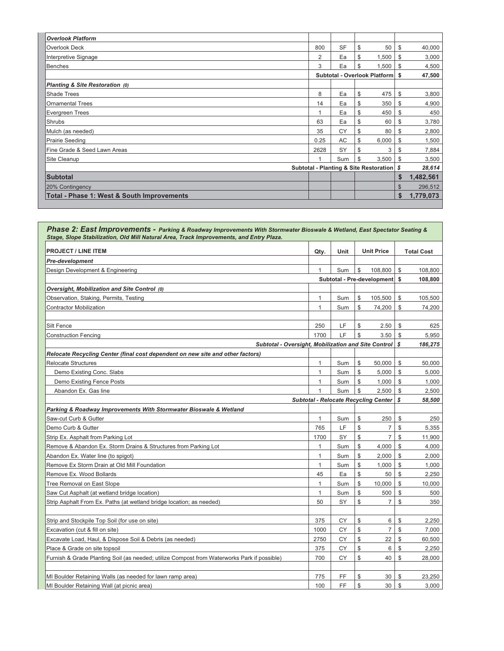| <b>Overlook Platform</b>                   |                                           |           |    |       |      |           |
|--------------------------------------------|-------------------------------------------|-----------|----|-------|------|-----------|
| Overlook Deck                              | 800                                       | <b>SF</b> | \$ | 50    | \$   | 40,000    |
| Interpretive Signage                       | $\overline{2}$                            | Ea        | \$ | 1,500 | S.   | 3,000     |
| Benches                                    | 3                                         | Ea        | \$ | 1,500 | \$   | 4,500     |
|                                            | Subtotal - Overlook Platform              |           |    |       |      | 47,500    |
| Planting & Site Restoration (0)            |                                           |           |    |       |      |           |
| <b>Shade Trees</b>                         | 8                                         | Ea        | \$ | 475   | \$   | 3,800     |
| <b>Ornamental Trees</b>                    | 14                                        | Ea        | \$ | 350   | \$   | 4,900     |
| <b>Evergreen Trees</b>                     |                                           | Ea        | \$ | 450   | \$   | 450       |
| Shrubs                                     | 63                                        | Ea        | \$ | 60    | \$   | 3,780     |
| Mulch (as needed)                          | 35                                        | CY        | \$ | 80    | S    | 2,800     |
| Prairie Seeding                            | 0.25                                      | AC        | \$ | 6,000 | - \$ | 1,500     |
| Fine Grade & Seed Lawn Areas               | 2628                                      | SY        | \$ | 3     | \$   | 7,884     |
| Site Cleanup                               |                                           | Sum       | \$ | 3,500 | \$   | 3,500     |
|                                            | Subtotal - Planting & Site Restoration \$ |           |    |       |      |           |
| <b>Subtotal</b>                            |                                           |           |    |       | \$   | 1,482,561 |
| 20% Contingency                            |                                           |           |    |       | \$   | 296,512   |
| Total - Phase 1: West & South Improvements |                                           |           |    |       | \$   | 1,779,073 |

| Phase 2: East Improvements - Parking & Roadway Improvements With Stormwater Bioswale & Wetland, East Spectator Seating &<br>Stage, Slope Stabilization, Old Mill Natural Area, Track Improvements, and Entry Plaza. |              |      |              |                            |               |                   |
|---------------------------------------------------------------------------------------------------------------------------------------------------------------------------------------------------------------------|--------------|------|--------------|----------------------------|---------------|-------------------|
| <b>PROJECT / LINE ITEM</b>                                                                                                                                                                                          | Qty.         | Unit |              | <b>Unit Price</b>          |               | <b>Total Cost</b> |
| Pre-development                                                                                                                                                                                                     |              |      |              |                            |               |                   |
| Design Development & Engineering                                                                                                                                                                                    |              | Sum  | \$           | 108,800                    | \$            | 108,800           |
|                                                                                                                                                                                                                     |              |      |              | Subtotal - Pre-development | \$            | 108,800           |
| Oversight, Mobilization and Site Control (0)                                                                                                                                                                        |              |      |              |                            |               |                   |
| Observation, Staking, Permits, Testing                                                                                                                                                                              | $\mathbf{1}$ | Sum  | \$           | 105,500                    | \$            | 105,500           |
| <b>Contractor Mobilization</b>                                                                                                                                                                                      | $\mathbf{1}$ | Sum  | \$           | 74,200                     | \$            | 74,200            |
|                                                                                                                                                                                                                     |              |      |              |                            |               |                   |
| Silt Fence                                                                                                                                                                                                          | 250          | LF   | \$           | 2.50                       | \$            | 625               |
| <b>Construction Fencing</b>                                                                                                                                                                                         | 1700         | LF   | \$           | 3.50                       | \$            | 5,950             |
| Subtotal - Oversight, Mobilization and Site Control                                                                                                                                                                 |              |      |              |                            | s             | 186,275           |
| Relocate Recycling Center (final cost dependent on new site and other factors)                                                                                                                                      |              |      |              |                            |               |                   |
| <b>Relocate Structures</b>                                                                                                                                                                                          | 1            | Sum  | \$           | 50,000                     | \$            | 50,000            |
| Demo Existing Conc. Slabs                                                                                                                                                                                           | $\mathbf{1}$ | Sum  | \$           | 5,000                      | \$            | 5,000             |
| Demo Existing Fence Posts                                                                                                                                                                                           | 1            | Sum  | \$           | 1,000                      | \$            | 1,000             |
| Abandon Ex. Gas line                                                                                                                                                                                                | $\mathbf{1}$ | Sum  | $\mathbb{S}$ | 2,500                      | $\mathbb{S}$  | 2,500             |
| <b>Subtotal - Relocate Recycling Center</b>                                                                                                                                                                         |              |      |              |                            |               |                   |
| Parking & Roadway Improvements With Stormwater Bioswale & Wetland                                                                                                                                                   |              |      |              |                            |               |                   |
| Saw-cut Curb & Gutter                                                                                                                                                                                               | 1            | Sum  | \$           | 250                        | \$            | 250               |
| Demo Curb & Gutter                                                                                                                                                                                                  | 765          | LF   | \$           | $\overline{7}$             | \$            | 5,355             |
| Strip Ex. Asphalt from Parking Lot                                                                                                                                                                                  | 1700         | SY   | \$           | $\overline{7}$             | $\mathcal{S}$ | 11,900            |
| Remove & Abandon Ex. Storm Drains & Structures from Parking Lot                                                                                                                                                     | 1            | Sum  | \$           | 4,000                      | \$            | 4,000             |
| Abandon Ex. Water line (to spigot)                                                                                                                                                                                  | 1            | Sum  | \$           | 2,000                      | \$            | 2,000             |
| Remove Ex Storm Drain at Old Mill Foundation                                                                                                                                                                        | $\mathbf{1}$ | Sum  | \$           | 1,000                      | \$            | 1,000             |
| Remove Ex. Wood Bollards                                                                                                                                                                                            | 45           | Ea   | \$           | 50                         | \$            | 2,250             |
| Tree Removal on East Slope                                                                                                                                                                                          | $\mathbf{1}$ | Sum  | \$           | 10,000                     | \$            | 10,000            |
| Saw Cut Asphalt (at wetland bridge location)                                                                                                                                                                        | $\mathbf{1}$ | Sum  | \$           | 500                        | \$            | 500               |
| Strip Asphalt From Ex. Paths (at wetland bridge location; as needed)                                                                                                                                                | 50           | SY   | \$           | 7                          | \$            | 350               |
|                                                                                                                                                                                                                     |              |      |              |                            |               |                   |
| Strip and Stockpile Top Soil (for use on site)                                                                                                                                                                      | 375          | CY   | \$           | 6                          | $\mathbb{S}$  | 2,250             |
| Excavation (cut & fill on site)                                                                                                                                                                                     | 1000         | CY   | \$           | $\overline{7}$             | \$            | 7,000             |
| Excavate Load, Haul, & Dispose Soil & Debris (as needed)                                                                                                                                                            | 2750         | СY   | \$           | 22                         | \$            | 60,500            |
| Place & Grade on site topsoil                                                                                                                                                                                       | 375          | CY   | \$           | 6                          | \$            | 2,250             |
| Furnish & Grade Planting Soil (as needed; utilize Compost from Waterworks Park if possible)                                                                                                                         | 700          | CY   | \$           | 40                         | \$            | 28,000            |
|                                                                                                                                                                                                                     |              |      |              |                            |               |                   |
| MI Boulder Retaining Walls (as needed for lawn ramp area)                                                                                                                                                           | 775          | FF   | \$           | 30                         | \$            | 23,250            |
| MI Boulder Retaining Wall (at picnic area)                                                                                                                                                                          | 100          | FF.  | \$           | 30                         | $\mathbb{S}$  | 3,000             |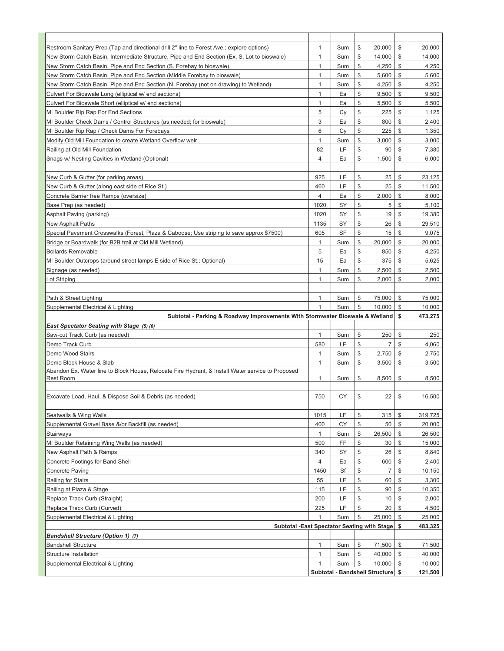| $\mathbf{1}$<br>\$<br>\$<br>Restroom Sanitary Prep (Tap and directional drill 2" line to Forest Ave.; explore options)<br>Sum<br>20,000<br>20.000<br>$\mathbb{S}$<br>$\mathbf{1}$<br>\$<br>New Storm Catch Basin, Intermediate Structure, Pipe and End Section (Ex. S. Lot to bioswale)<br>Sum<br>14,000<br>14,000<br>\$<br>4,250<br>\$<br>New Storm Catch Basin, Pipe and End Section (S. Forebay to bioswale)<br>$\mathbf{1}$<br>Sum<br>4,250<br>\$<br>\$<br>New Storm Catch Basin, Pipe and End Section (Middle Forebay to bioswale)<br>$\mathbf{1}$<br>Sum<br>5,600<br>5,600<br>\$<br>$\mathbf{1}$<br>\$<br>New Storm Catch Basin, Pipe and End Section (N. Forebay (not on drawing) to Wetland)<br>Sum<br>4,250<br>4,250<br>\$<br>\$<br>Culvert For Bioswale Long (elliptical w/ end sections)<br>$\mathbf{1}$<br>Ea<br>9,500<br>9,500<br>\$<br>\$<br>$\mathbf{1}$<br>5,500<br>5,500<br>Culvert For Bioswale Short (elliptical w/ end sections)<br>Ea<br>5<br>\$<br>\$<br>Cy<br>225<br>1,125<br>MI Boulder Rip Rap For End Sections<br>\$<br>3<br>\$<br>MI Boulder Check Dams / Control Structures (as needed; for bioswale)<br>Ea<br>800<br>2,400<br>\$<br>\$<br>6<br>MI Boulder Rip Rap / Check Dams For Forebays<br>Cy<br>225<br>1,350<br>$\mathbb{S}$<br>$\mathbf{1}$<br>\$<br>Modify Old Mill Foundation to create Wetland Overflow weir<br>Sum<br>3,000<br>3,000<br>\$<br>LF<br>\$<br>Railing at Old Mill Foundation<br>82<br>90<br>7,380<br>\$<br>$\overline{4}$<br>\$<br>Snags w/ Nesting Cavities in Wetland (Optional)<br>Ea<br>1,500<br>6,000<br>\$<br>\$<br>925<br>LF<br>25<br>New Curb & Gutter (for parking areas)<br>23,125<br>\$<br>LF<br>25<br>\$<br>New Curb & Gutter (along east side of Rice St.)<br>460<br>11,500<br>\$<br>\$<br>$\overline{4}$<br>Concrete Barrier free Ramps (oversize)<br>Ea<br>2,000<br>8,000<br>\$<br>$\mathbb{S}$<br>1020<br>SY<br>5<br>Base Prep (as needed)<br>5,100<br>$\mathbb S$<br>\$<br>Asphalt Paving (parking)<br>1020<br>SY<br>19<br>19,380<br>\$<br>\$<br><b>New Asphalt Paths</b><br>1135<br>SY<br>26<br>29,510<br>\$<br>15<br>\$<br>Special Pavement Crosswalks (Forest, Plaza & Caboose; Use striping to save approx \$7500)<br>605<br>SF<br>9,075<br>\$<br>$\mathbf{1}$<br>\$<br>Bridge or Boardwalk (for B2B trail at Old Mill Wetland)<br>Sum<br>20,000<br>20,000<br>\$<br>5<br>\$<br><b>Bollards Removable</b><br>Ea<br>850<br>4,250<br>\$<br>15<br>375<br>\$<br>MI Boulder Outcrops (around street lamps E side of Rice St.; Optional)<br>Ea<br>5,625<br>$\overline{1}$<br>\$<br>\$<br>Sum<br>2,500<br>2,500<br>Signage (as needed)<br>\$<br>$\mathbf{1}$<br>\$<br>Lot Striping<br>Sum<br>2,000<br>2,000<br>\$<br>\$<br>75,000<br>1<br>75,000<br>Path & Street Lighting<br>Sum<br>\$<br>\$<br>Supplemental Electrical & Lighting<br>$\mathbf{1}$<br>Sum<br>10,000<br>10,000<br>Subtotal - Parking & Roadway Improvements With Stormwater Bioswale & Wetland<br>\$<br>473,275<br>East Spectator Seating with Stage (5)(6)<br>\$<br>\$<br>1<br>Sum<br>250<br>250<br>Saw-cut Track Curb (as needed)<br>\$<br>$\overline{7}$<br>580<br>LF<br>\$<br>Demo Track Curb<br>4,060<br>\$<br>$\mathbf{1}$<br>\$<br>Demo Wood Stairs<br>Sum<br>2,750<br>2,750<br>$\mathbf{1}$<br>\$<br>\$<br>Demo Block House & Slab<br>Sum<br>3,500<br>3,500<br>Abandon Ex. Water line to Block House, Relocate Fire Hydrant, & Install Water service to Proposed<br><b>Rest Room</b><br>$\mathbf{1}$<br>\$<br>\$<br>8,500<br>8,500<br>Sum<br>750<br>\$<br>\$<br>Excavate Load, Haul, & Dispose Soil & Debris (as needed)<br>СY<br>22<br>16,500<br>\$<br>LF<br>315<br>\$<br>319,725<br>Seatwalls & Wing Walls<br>1015<br>\$<br>Supplemental Gravel Base &/or Backfill (as needed)<br>400<br>СY<br>50<br>\$<br>20,000<br>\$<br>Sum<br>26,500<br>\$<br>$\mathbf{1}$<br>26,500<br>Stairways<br>\$<br>500<br>FF<br>30<br>\$<br>15,000<br>MI Boulder Retaining Wing Walls (as needed)<br>\$<br>\$<br>340<br>SY<br>26<br>8,840<br>New Asphalt Path & Ramps<br>$\mathbb S$<br>\$<br>4<br>Concrete Footings for Band Shell<br>Ea<br>600<br>2,400<br>$\mathbb{S}$<br>\$<br>1450<br>Sf<br>$\overline{7}$<br>Concrete Paving<br>10,150<br>\$<br>LF<br>\$<br>Railing for Stairs<br>55<br>60<br>3,300<br>\$<br>LF<br>\$<br>Railing at Plaza & Stage<br>115<br>90<br>10,350<br>\$<br>200<br>LF<br>10<br>\$<br>Replace Track Curb (Straight)<br>2,000<br>\$<br>Replace Track Curb (Curved)<br>LF<br>225<br>20<br>\$<br>4,500<br>\$<br>Sum<br>25,000<br>Supplemental Electrical & Lighting<br>\$<br>25,000<br>1<br>Subtotal -East Spectator Seating with Stage<br>\$<br>483,325<br><b>Bandshell Structure (Option 1) (7)</b><br>\$<br>$\mathbf{1}$<br>71,500<br>\$<br><b>Bandshell Structure</b><br>Sum<br>71,500<br>\$<br>40,000<br>\$<br>40,000<br><b>Structure Installation</b><br>1<br>Sum<br>\$<br>Sum<br>10,000<br>\$<br>10,000<br>Supplemental Electrical & Lighting<br>$\mathbf{1}$<br>Subtotal - Bandshell Structure<br>-S<br>121,500 |  |  |  |  |
|-----------------------------------------------------------------------------------------------------------------------------------------------------------------------------------------------------------------------------------------------------------------------------------------------------------------------------------------------------------------------------------------------------------------------------------------------------------------------------------------------------------------------------------------------------------------------------------------------------------------------------------------------------------------------------------------------------------------------------------------------------------------------------------------------------------------------------------------------------------------------------------------------------------------------------------------------------------------------------------------------------------------------------------------------------------------------------------------------------------------------------------------------------------------------------------------------------------------------------------------------------------------------------------------------------------------------------------------------------------------------------------------------------------------------------------------------------------------------------------------------------------------------------------------------------------------------------------------------------------------------------------------------------------------------------------------------------------------------------------------------------------------------------------------------------------------------------------------------------------------------------------------------------------------------------------------------------------------------------------------------------------------------------------------------------------------------------------------------------------------------------------------------------------------------------------------------------------------------------------------------------------------------------------------------------------------------------------------------------------------------------------------------------------------------------------------------------------------------------------------------------------------------------------------------------------------------------------------------------------------------------------------------------------------------------------------------------------------------------------------------------------------------------------------------------------------------------------------------------------------------------------------------------------------------------------------------------------------------------------------------------------------------------------------------------------------------------------------------------------------------------------------------------------------------------------------------------------------------------------------------------------------------------------------------------------------------------------------------------------------------------------------------------------------------------------------------------------------------------------------------------------------------------------------------------------------------------------------------------------------------------------------------------------------------------------------------------------------------------------------------------------------------------------------------------------------------------------------------------------------------------------------------------------------------------------------------------------------------------------------------------------------------------------------------------------------------------------------------------------------------------------------------------------------------------------------------------------------------------------------------------------------------------------------------------------------------------------------------------------------------------------------------------------------------------------------------------------------------------------------------------------------------------------------------------------------------------------------------------------------------------------------------------------------------------------------------------------------------------------------------------------------------------------------------------------------------------------------------------------------------------------------------------------------------------------------------------------------------|--|--|--|--|
|                                                                                                                                                                                                                                                                                                                                                                                                                                                                                                                                                                                                                                                                                                                                                                                                                                                                                                                                                                                                                                                                                                                                                                                                                                                                                                                                                                                                                                                                                                                                                                                                                                                                                                                                                                                                                                                                                                                                                                                                                                                                                                                                                                                                                                                                                                                                                                                                                                                                                                                                                                                                                                                                                                                                                                                                                                                                                                                                                                                                                                                                                                                                                                                                                                                                                                                                                                                                                                                                                                                                                                                                                                                                                                                                                                                                                                                                                                                                                                                                                                                                                                                                                                                                                                                                                                                                                                                                                                                                                                                                                                                                                                                                                                                                                                                                                                                                                                                                                                       |  |  |  |  |
|                                                                                                                                                                                                                                                                                                                                                                                                                                                                                                                                                                                                                                                                                                                                                                                                                                                                                                                                                                                                                                                                                                                                                                                                                                                                                                                                                                                                                                                                                                                                                                                                                                                                                                                                                                                                                                                                                                                                                                                                                                                                                                                                                                                                                                                                                                                                                                                                                                                                                                                                                                                                                                                                                                                                                                                                                                                                                                                                                                                                                                                                                                                                                                                                                                                                                                                                                                                                                                                                                                                                                                                                                                                                                                                                                                                                                                                                                                                                                                                                                                                                                                                                                                                                                                                                                                                                                                                                                                                                                                                                                                                                                                                                                                                                                                                                                                                                                                                                                                       |  |  |  |  |
|                                                                                                                                                                                                                                                                                                                                                                                                                                                                                                                                                                                                                                                                                                                                                                                                                                                                                                                                                                                                                                                                                                                                                                                                                                                                                                                                                                                                                                                                                                                                                                                                                                                                                                                                                                                                                                                                                                                                                                                                                                                                                                                                                                                                                                                                                                                                                                                                                                                                                                                                                                                                                                                                                                                                                                                                                                                                                                                                                                                                                                                                                                                                                                                                                                                                                                                                                                                                                                                                                                                                                                                                                                                                                                                                                                                                                                                                                                                                                                                                                                                                                                                                                                                                                                                                                                                                                                                                                                                                                                                                                                                                                                                                                                                                                                                                                                                                                                                                                                       |  |  |  |  |
|                                                                                                                                                                                                                                                                                                                                                                                                                                                                                                                                                                                                                                                                                                                                                                                                                                                                                                                                                                                                                                                                                                                                                                                                                                                                                                                                                                                                                                                                                                                                                                                                                                                                                                                                                                                                                                                                                                                                                                                                                                                                                                                                                                                                                                                                                                                                                                                                                                                                                                                                                                                                                                                                                                                                                                                                                                                                                                                                                                                                                                                                                                                                                                                                                                                                                                                                                                                                                                                                                                                                                                                                                                                                                                                                                                                                                                                                                                                                                                                                                                                                                                                                                                                                                                                                                                                                                                                                                                                                                                                                                                                                                                                                                                                                                                                                                                                                                                                                                                       |  |  |  |  |
|                                                                                                                                                                                                                                                                                                                                                                                                                                                                                                                                                                                                                                                                                                                                                                                                                                                                                                                                                                                                                                                                                                                                                                                                                                                                                                                                                                                                                                                                                                                                                                                                                                                                                                                                                                                                                                                                                                                                                                                                                                                                                                                                                                                                                                                                                                                                                                                                                                                                                                                                                                                                                                                                                                                                                                                                                                                                                                                                                                                                                                                                                                                                                                                                                                                                                                                                                                                                                                                                                                                                                                                                                                                                                                                                                                                                                                                                                                                                                                                                                                                                                                                                                                                                                                                                                                                                                                                                                                                                                                                                                                                                                                                                                                                                                                                                                                                                                                                                                                       |  |  |  |  |
|                                                                                                                                                                                                                                                                                                                                                                                                                                                                                                                                                                                                                                                                                                                                                                                                                                                                                                                                                                                                                                                                                                                                                                                                                                                                                                                                                                                                                                                                                                                                                                                                                                                                                                                                                                                                                                                                                                                                                                                                                                                                                                                                                                                                                                                                                                                                                                                                                                                                                                                                                                                                                                                                                                                                                                                                                                                                                                                                                                                                                                                                                                                                                                                                                                                                                                                                                                                                                                                                                                                                                                                                                                                                                                                                                                                                                                                                                                                                                                                                                                                                                                                                                                                                                                                                                                                                                                                                                                                                                                                                                                                                                                                                                                                                                                                                                                                                                                                                                                       |  |  |  |  |
|                                                                                                                                                                                                                                                                                                                                                                                                                                                                                                                                                                                                                                                                                                                                                                                                                                                                                                                                                                                                                                                                                                                                                                                                                                                                                                                                                                                                                                                                                                                                                                                                                                                                                                                                                                                                                                                                                                                                                                                                                                                                                                                                                                                                                                                                                                                                                                                                                                                                                                                                                                                                                                                                                                                                                                                                                                                                                                                                                                                                                                                                                                                                                                                                                                                                                                                                                                                                                                                                                                                                                                                                                                                                                                                                                                                                                                                                                                                                                                                                                                                                                                                                                                                                                                                                                                                                                                                                                                                                                                                                                                                                                                                                                                                                                                                                                                                                                                                                                                       |  |  |  |  |
|                                                                                                                                                                                                                                                                                                                                                                                                                                                                                                                                                                                                                                                                                                                                                                                                                                                                                                                                                                                                                                                                                                                                                                                                                                                                                                                                                                                                                                                                                                                                                                                                                                                                                                                                                                                                                                                                                                                                                                                                                                                                                                                                                                                                                                                                                                                                                                                                                                                                                                                                                                                                                                                                                                                                                                                                                                                                                                                                                                                                                                                                                                                                                                                                                                                                                                                                                                                                                                                                                                                                                                                                                                                                                                                                                                                                                                                                                                                                                                                                                                                                                                                                                                                                                                                                                                                                                                                                                                                                                                                                                                                                                                                                                                                                                                                                                                                                                                                                                                       |  |  |  |  |
|                                                                                                                                                                                                                                                                                                                                                                                                                                                                                                                                                                                                                                                                                                                                                                                                                                                                                                                                                                                                                                                                                                                                                                                                                                                                                                                                                                                                                                                                                                                                                                                                                                                                                                                                                                                                                                                                                                                                                                                                                                                                                                                                                                                                                                                                                                                                                                                                                                                                                                                                                                                                                                                                                                                                                                                                                                                                                                                                                                                                                                                                                                                                                                                                                                                                                                                                                                                                                                                                                                                                                                                                                                                                                                                                                                                                                                                                                                                                                                                                                                                                                                                                                                                                                                                                                                                                                                                                                                                                                                                                                                                                                                                                                                                                                                                                                                                                                                                                                                       |  |  |  |  |
|                                                                                                                                                                                                                                                                                                                                                                                                                                                                                                                                                                                                                                                                                                                                                                                                                                                                                                                                                                                                                                                                                                                                                                                                                                                                                                                                                                                                                                                                                                                                                                                                                                                                                                                                                                                                                                                                                                                                                                                                                                                                                                                                                                                                                                                                                                                                                                                                                                                                                                                                                                                                                                                                                                                                                                                                                                                                                                                                                                                                                                                                                                                                                                                                                                                                                                                                                                                                                                                                                                                                                                                                                                                                                                                                                                                                                                                                                                                                                                                                                                                                                                                                                                                                                                                                                                                                                                                                                                                                                                                                                                                                                                                                                                                                                                                                                                                                                                                                                                       |  |  |  |  |
|                                                                                                                                                                                                                                                                                                                                                                                                                                                                                                                                                                                                                                                                                                                                                                                                                                                                                                                                                                                                                                                                                                                                                                                                                                                                                                                                                                                                                                                                                                                                                                                                                                                                                                                                                                                                                                                                                                                                                                                                                                                                                                                                                                                                                                                                                                                                                                                                                                                                                                                                                                                                                                                                                                                                                                                                                                                                                                                                                                                                                                                                                                                                                                                                                                                                                                                                                                                                                                                                                                                                                                                                                                                                                                                                                                                                                                                                                                                                                                                                                                                                                                                                                                                                                                                                                                                                                                                                                                                                                                                                                                                                                                                                                                                                                                                                                                                                                                                                                                       |  |  |  |  |
|                                                                                                                                                                                                                                                                                                                                                                                                                                                                                                                                                                                                                                                                                                                                                                                                                                                                                                                                                                                                                                                                                                                                                                                                                                                                                                                                                                                                                                                                                                                                                                                                                                                                                                                                                                                                                                                                                                                                                                                                                                                                                                                                                                                                                                                                                                                                                                                                                                                                                                                                                                                                                                                                                                                                                                                                                                                                                                                                                                                                                                                                                                                                                                                                                                                                                                                                                                                                                                                                                                                                                                                                                                                                                                                                                                                                                                                                                                                                                                                                                                                                                                                                                                                                                                                                                                                                                                                                                                                                                                                                                                                                                                                                                                                                                                                                                                                                                                                                                                       |  |  |  |  |
|                                                                                                                                                                                                                                                                                                                                                                                                                                                                                                                                                                                                                                                                                                                                                                                                                                                                                                                                                                                                                                                                                                                                                                                                                                                                                                                                                                                                                                                                                                                                                                                                                                                                                                                                                                                                                                                                                                                                                                                                                                                                                                                                                                                                                                                                                                                                                                                                                                                                                                                                                                                                                                                                                                                                                                                                                                                                                                                                                                                                                                                                                                                                                                                                                                                                                                                                                                                                                                                                                                                                                                                                                                                                                                                                                                                                                                                                                                                                                                                                                                                                                                                                                                                                                                                                                                                                                                                                                                                                                                                                                                                                                                                                                                                                                                                                                                                                                                                                                                       |  |  |  |  |
|                                                                                                                                                                                                                                                                                                                                                                                                                                                                                                                                                                                                                                                                                                                                                                                                                                                                                                                                                                                                                                                                                                                                                                                                                                                                                                                                                                                                                                                                                                                                                                                                                                                                                                                                                                                                                                                                                                                                                                                                                                                                                                                                                                                                                                                                                                                                                                                                                                                                                                                                                                                                                                                                                                                                                                                                                                                                                                                                                                                                                                                                                                                                                                                                                                                                                                                                                                                                                                                                                                                                                                                                                                                                                                                                                                                                                                                                                                                                                                                                                                                                                                                                                                                                                                                                                                                                                                                                                                                                                                                                                                                                                                                                                                                                                                                                                                                                                                                                                                       |  |  |  |  |
|                                                                                                                                                                                                                                                                                                                                                                                                                                                                                                                                                                                                                                                                                                                                                                                                                                                                                                                                                                                                                                                                                                                                                                                                                                                                                                                                                                                                                                                                                                                                                                                                                                                                                                                                                                                                                                                                                                                                                                                                                                                                                                                                                                                                                                                                                                                                                                                                                                                                                                                                                                                                                                                                                                                                                                                                                                                                                                                                                                                                                                                                                                                                                                                                                                                                                                                                                                                                                                                                                                                                                                                                                                                                                                                                                                                                                                                                                                                                                                                                                                                                                                                                                                                                                                                                                                                                                                                                                                                                                                                                                                                                                                                                                                                                                                                                                                                                                                                                                                       |  |  |  |  |
|                                                                                                                                                                                                                                                                                                                                                                                                                                                                                                                                                                                                                                                                                                                                                                                                                                                                                                                                                                                                                                                                                                                                                                                                                                                                                                                                                                                                                                                                                                                                                                                                                                                                                                                                                                                                                                                                                                                                                                                                                                                                                                                                                                                                                                                                                                                                                                                                                                                                                                                                                                                                                                                                                                                                                                                                                                                                                                                                                                                                                                                                                                                                                                                                                                                                                                                                                                                                                                                                                                                                                                                                                                                                                                                                                                                                                                                                                                                                                                                                                                                                                                                                                                                                                                                                                                                                                                                                                                                                                                                                                                                                                                                                                                                                                                                                                                                                                                                                                                       |  |  |  |  |
|                                                                                                                                                                                                                                                                                                                                                                                                                                                                                                                                                                                                                                                                                                                                                                                                                                                                                                                                                                                                                                                                                                                                                                                                                                                                                                                                                                                                                                                                                                                                                                                                                                                                                                                                                                                                                                                                                                                                                                                                                                                                                                                                                                                                                                                                                                                                                                                                                                                                                                                                                                                                                                                                                                                                                                                                                                                                                                                                                                                                                                                                                                                                                                                                                                                                                                                                                                                                                                                                                                                                                                                                                                                                                                                                                                                                                                                                                                                                                                                                                                                                                                                                                                                                                                                                                                                                                                                                                                                                                                                                                                                                                                                                                                                                                                                                                                                                                                                                                                       |  |  |  |  |
|                                                                                                                                                                                                                                                                                                                                                                                                                                                                                                                                                                                                                                                                                                                                                                                                                                                                                                                                                                                                                                                                                                                                                                                                                                                                                                                                                                                                                                                                                                                                                                                                                                                                                                                                                                                                                                                                                                                                                                                                                                                                                                                                                                                                                                                                                                                                                                                                                                                                                                                                                                                                                                                                                                                                                                                                                                                                                                                                                                                                                                                                                                                                                                                                                                                                                                                                                                                                                                                                                                                                                                                                                                                                                                                                                                                                                                                                                                                                                                                                                                                                                                                                                                                                                                                                                                                                                                                                                                                                                                                                                                                                                                                                                                                                                                                                                                                                                                                                                                       |  |  |  |  |
|                                                                                                                                                                                                                                                                                                                                                                                                                                                                                                                                                                                                                                                                                                                                                                                                                                                                                                                                                                                                                                                                                                                                                                                                                                                                                                                                                                                                                                                                                                                                                                                                                                                                                                                                                                                                                                                                                                                                                                                                                                                                                                                                                                                                                                                                                                                                                                                                                                                                                                                                                                                                                                                                                                                                                                                                                                                                                                                                                                                                                                                                                                                                                                                                                                                                                                                                                                                                                                                                                                                                                                                                                                                                                                                                                                                                                                                                                                                                                                                                                                                                                                                                                                                                                                                                                                                                                                                                                                                                                                                                                                                                                                                                                                                                                                                                                                                                                                                                                                       |  |  |  |  |
|                                                                                                                                                                                                                                                                                                                                                                                                                                                                                                                                                                                                                                                                                                                                                                                                                                                                                                                                                                                                                                                                                                                                                                                                                                                                                                                                                                                                                                                                                                                                                                                                                                                                                                                                                                                                                                                                                                                                                                                                                                                                                                                                                                                                                                                                                                                                                                                                                                                                                                                                                                                                                                                                                                                                                                                                                                                                                                                                                                                                                                                                                                                                                                                                                                                                                                                                                                                                                                                                                                                                                                                                                                                                                                                                                                                                                                                                                                                                                                                                                                                                                                                                                                                                                                                                                                                                                                                                                                                                                                                                                                                                                                                                                                                                                                                                                                                                                                                                                                       |  |  |  |  |
|                                                                                                                                                                                                                                                                                                                                                                                                                                                                                                                                                                                                                                                                                                                                                                                                                                                                                                                                                                                                                                                                                                                                                                                                                                                                                                                                                                                                                                                                                                                                                                                                                                                                                                                                                                                                                                                                                                                                                                                                                                                                                                                                                                                                                                                                                                                                                                                                                                                                                                                                                                                                                                                                                                                                                                                                                                                                                                                                                                                                                                                                                                                                                                                                                                                                                                                                                                                                                                                                                                                                                                                                                                                                                                                                                                                                                                                                                                                                                                                                                                                                                                                                                                                                                                                                                                                                                                                                                                                                                                                                                                                                                                                                                                                                                                                                                                                                                                                                                                       |  |  |  |  |
|                                                                                                                                                                                                                                                                                                                                                                                                                                                                                                                                                                                                                                                                                                                                                                                                                                                                                                                                                                                                                                                                                                                                                                                                                                                                                                                                                                                                                                                                                                                                                                                                                                                                                                                                                                                                                                                                                                                                                                                                                                                                                                                                                                                                                                                                                                                                                                                                                                                                                                                                                                                                                                                                                                                                                                                                                                                                                                                                                                                                                                                                                                                                                                                                                                                                                                                                                                                                                                                                                                                                                                                                                                                                                                                                                                                                                                                                                                                                                                                                                                                                                                                                                                                                                                                                                                                                                                                                                                                                                                                                                                                                                                                                                                                                                                                                                                                                                                                                                                       |  |  |  |  |
|                                                                                                                                                                                                                                                                                                                                                                                                                                                                                                                                                                                                                                                                                                                                                                                                                                                                                                                                                                                                                                                                                                                                                                                                                                                                                                                                                                                                                                                                                                                                                                                                                                                                                                                                                                                                                                                                                                                                                                                                                                                                                                                                                                                                                                                                                                                                                                                                                                                                                                                                                                                                                                                                                                                                                                                                                                                                                                                                                                                                                                                                                                                                                                                                                                                                                                                                                                                                                                                                                                                                                                                                                                                                                                                                                                                                                                                                                                                                                                                                                                                                                                                                                                                                                                                                                                                                                                                                                                                                                                                                                                                                                                                                                                                                                                                                                                                                                                                                                                       |  |  |  |  |
|                                                                                                                                                                                                                                                                                                                                                                                                                                                                                                                                                                                                                                                                                                                                                                                                                                                                                                                                                                                                                                                                                                                                                                                                                                                                                                                                                                                                                                                                                                                                                                                                                                                                                                                                                                                                                                                                                                                                                                                                                                                                                                                                                                                                                                                                                                                                                                                                                                                                                                                                                                                                                                                                                                                                                                                                                                                                                                                                                                                                                                                                                                                                                                                                                                                                                                                                                                                                                                                                                                                                                                                                                                                                                                                                                                                                                                                                                                                                                                                                                                                                                                                                                                                                                                                                                                                                                                                                                                                                                                                                                                                                                                                                                                                                                                                                                                                                                                                                                                       |  |  |  |  |
|                                                                                                                                                                                                                                                                                                                                                                                                                                                                                                                                                                                                                                                                                                                                                                                                                                                                                                                                                                                                                                                                                                                                                                                                                                                                                                                                                                                                                                                                                                                                                                                                                                                                                                                                                                                                                                                                                                                                                                                                                                                                                                                                                                                                                                                                                                                                                                                                                                                                                                                                                                                                                                                                                                                                                                                                                                                                                                                                                                                                                                                                                                                                                                                                                                                                                                                                                                                                                                                                                                                                                                                                                                                                                                                                                                                                                                                                                                                                                                                                                                                                                                                                                                                                                                                                                                                                                                                                                                                                                                                                                                                                                                                                                                                                                                                                                                                                                                                                                                       |  |  |  |  |
|                                                                                                                                                                                                                                                                                                                                                                                                                                                                                                                                                                                                                                                                                                                                                                                                                                                                                                                                                                                                                                                                                                                                                                                                                                                                                                                                                                                                                                                                                                                                                                                                                                                                                                                                                                                                                                                                                                                                                                                                                                                                                                                                                                                                                                                                                                                                                                                                                                                                                                                                                                                                                                                                                                                                                                                                                                                                                                                                                                                                                                                                                                                                                                                                                                                                                                                                                                                                                                                                                                                                                                                                                                                                                                                                                                                                                                                                                                                                                                                                                                                                                                                                                                                                                                                                                                                                                                                                                                                                                                                                                                                                                                                                                                                                                                                                                                                                                                                                                                       |  |  |  |  |
|                                                                                                                                                                                                                                                                                                                                                                                                                                                                                                                                                                                                                                                                                                                                                                                                                                                                                                                                                                                                                                                                                                                                                                                                                                                                                                                                                                                                                                                                                                                                                                                                                                                                                                                                                                                                                                                                                                                                                                                                                                                                                                                                                                                                                                                                                                                                                                                                                                                                                                                                                                                                                                                                                                                                                                                                                                                                                                                                                                                                                                                                                                                                                                                                                                                                                                                                                                                                                                                                                                                                                                                                                                                                                                                                                                                                                                                                                                                                                                                                                                                                                                                                                                                                                                                                                                                                                                                                                                                                                                                                                                                                                                                                                                                                                                                                                                                                                                                                                                       |  |  |  |  |
|                                                                                                                                                                                                                                                                                                                                                                                                                                                                                                                                                                                                                                                                                                                                                                                                                                                                                                                                                                                                                                                                                                                                                                                                                                                                                                                                                                                                                                                                                                                                                                                                                                                                                                                                                                                                                                                                                                                                                                                                                                                                                                                                                                                                                                                                                                                                                                                                                                                                                                                                                                                                                                                                                                                                                                                                                                                                                                                                                                                                                                                                                                                                                                                                                                                                                                                                                                                                                                                                                                                                                                                                                                                                                                                                                                                                                                                                                                                                                                                                                                                                                                                                                                                                                                                                                                                                                                                                                                                                                                                                                                                                                                                                                                                                                                                                                                                                                                                                                                       |  |  |  |  |
|                                                                                                                                                                                                                                                                                                                                                                                                                                                                                                                                                                                                                                                                                                                                                                                                                                                                                                                                                                                                                                                                                                                                                                                                                                                                                                                                                                                                                                                                                                                                                                                                                                                                                                                                                                                                                                                                                                                                                                                                                                                                                                                                                                                                                                                                                                                                                                                                                                                                                                                                                                                                                                                                                                                                                                                                                                                                                                                                                                                                                                                                                                                                                                                                                                                                                                                                                                                                                                                                                                                                                                                                                                                                                                                                                                                                                                                                                                                                                                                                                                                                                                                                                                                                                                                                                                                                                                                                                                                                                                                                                                                                                                                                                                                                                                                                                                                                                                                                                                       |  |  |  |  |
|                                                                                                                                                                                                                                                                                                                                                                                                                                                                                                                                                                                                                                                                                                                                                                                                                                                                                                                                                                                                                                                                                                                                                                                                                                                                                                                                                                                                                                                                                                                                                                                                                                                                                                                                                                                                                                                                                                                                                                                                                                                                                                                                                                                                                                                                                                                                                                                                                                                                                                                                                                                                                                                                                                                                                                                                                                                                                                                                                                                                                                                                                                                                                                                                                                                                                                                                                                                                                                                                                                                                                                                                                                                                                                                                                                                                                                                                                                                                                                                                                                                                                                                                                                                                                                                                                                                                                                                                                                                                                                                                                                                                                                                                                                                                                                                                                                                                                                                                                                       |  |  |  |  |
|                                                                                                                                                                                                                                                                                                                                                                                                                                                                                                                                                                                                                                                                                                                                                                                                                                                                                                                                                                                                                                                                                                                                                                                                                                                                                                                                                                                                                                                                                                                                                                                                                                                                                                                                                                                                                                                                                                                                                                                                                                                                                                                                                                                                                                                                                                                                                                                                                                                                                                                                                                                                                                                                                                                                                                                                                                                                                                                                                                                                                                                                                                                                                                                                                                                                                                                                                                                                                                                                                                                                                                                                                                                                                                                                                                                                                                                                                                                                                                                                                                                                                                                                                                                                                                                                                                                                                                                                                                                                                                                                                                                                                                                                                                                                                                                                                                                                                                                                                                       |  |  |  |  |
|                                                                                                                                                                                                                                                                                                                                                                                                                                                                                                                                                                                                                                                                                                                                                                                                                                                                                                                                                                                                                                                                                                                                                                                                                                                                                                                                                                                                                                                                                                                                                                                                                                                                                                                                                                                                                                                                                                                                                                                                                                                                                                                                                                                                                                                                                                                                                                                                                                                                                                                                                                                                                                                                                                                                                                                                                                                                                                                                                                                                                                                                                                                                                                                                                                                                                                                                                                                                                                                                                                                                                                                                                                                                                                                                                                                                                                                                                                                                                                                                                                                                                                                                                                                                                                                                                                                                                                                                                                                                                                                                                                                                                                                                                                                                                                                                                                                                                                                                                                       |  |  |  |  |
|                                                                                                                                                                                                                                                                                                                                                                                                                                                                                                                                                                                                                                                                                                                                                                                                                                                                                                                                                                                                                                                                                                                                                                                                                                                                                                                                                                                                                                                                                                                                                                                                                                                                                                                                                                                                                                                                                                                                                                                                                                                                                                                                                                                                                                                                                                                                                                                                                                                                                                                                                                                                                                                                                                                                                                                                                                                                                                                                                                                                                                                                                                                                                                                                                                                                                                                                                                                                                                                                                                                                                                                                                                                                                                                                                                                                                                                                                                                                                                                                                                                                                                                                                                                                                                                                                                                                                                                                                                                                                                                                                                                                                                                                                                                                                                                                                                                                                                                                                                       |  |  |  |  |
|                                                                                                                                                                                                                                                                                                                                                                                                                                                                                                                                                                                                                                                                                                                                                                                                                                                                                                                                                                                                                                                                                                                                                                                                                                                                                                                                                                                                                                                                                                                                                                                                                                                                                                                                                                                                                                                                                                                                                                                                                                                                                                                                                                                                                                                                                                                                                                                                                                                                                                                                                                                                                                                                                                                                                                                                                                                                                                                                                                                                                                                                                                                                                                                                                                                                                                                                                                                                                                                                                                                                                                                                                                                                                                                                                                                                                                                                                                                                                                                                                                                                                                                                                                                                                                                                                                                                                                                                                                                                                                                                                                                                                                                                                                                                                                                                                                                                                                                                                                       |  |  |  |  |
|                                                                                                                                                                                                                                                                                                                                                                                                                                                                                                                                                                                                                                                                                                                                                                                                                                                                                                                                                                                                                                                                                                                                                                                                                                                                                                                                                                                                                                                                                                                                                                                                                                                                                                                                                                                                                                                                                                                                                                                                                                                                                                                                                                                                                                                                                                                                                                                                                                                                                                                                                                                                                                                                                                                                                                                                                                                                                                                                                                                                                                                                                                                                                                                                                                                                                                                                                                                                                                                                                                                                                                                                                                                                                                                                                                                                                                                                                                                                                                                                                                                                                                                                                                                                                                                                                                                                                                                                                                                                                                                                                                                                                                                                                                                                                                                                                                                                                                                                                                       |  |  |  |  |
|                                                                                                                                                                                                                                                                                                                                                                                                                                                                                                                                                                                                                                                                                                                                                                                                                                                                                                                                                                                                                                                                                                                                                                                                                                                                                                                                                                                                                                                                                                                                                                                                                                                                                                                                                                                                                                                                                                                                                                                                                                                                                                                                                                                                                                                                                                                                                                                                                                                                                                                                                                                                                                                                                                                                                                                                                                                                                                                                                                                                                                                                                                                                                                                                                                                                                                                                                                                                                                                                                                                                                                                                                                                                                                                                                                                                                                                                                                                                                                                                                                                                                                                                                                                                                                                                                                                                                                                                                                                                                                                                                                                                                                                                                                                                                                                                                                                                                                                                                                       |  |  |  |  |
|                                                                                                                                                                                                                                                                                                                                                                                                                                                                                                                                                                                                                                                                                                                                                                                                                                                                                                                                                                                                                                                                                                                                                                                                                                                                                                                                                                                                                                                                                                                                                                                                                                                                                                                                                                                                                                                                                                                                                                                                                                                                                                                                                                                                                                                                                                                                                                                                                                                                                                                                                                                                                                                                                                                                                                                                                                                                                                                                                                                                                                                                                                                                                                                                                                                                                                                                                                                                                                                                                                                                                                                                                                                                                                                                                                                                                                                                                                                                                                                                                                                                                                                                                                                                                                                                                                                                                                                                                                                                                                                                                                                                                                                                                                                                                                                                                                                                                                                                                                       |  |  |  |  |
|                                                                                                                                                                                                                                                                                                                                                                                                                                                                                                                                                                                                                                                                                                                                                                                                                                                                                                                                                                                                                                                                                                                                                                                                                                                                                                                                                                                                                                                                                                                                                                                                                                                                                                                                                                                                                                                                                                                                                                                                                                                                                                                                                                                                                                                                                                                                                                                                                                                                                                                                                                                                                                                                                                                                                                                                                                                                                                                                                                                                                                                                                                                                                                                                                                                                                                                                                                                                                                                                                                                                                                                                                                                                                                                                                                                                                                                                                                                                                                                                                                                                                                                                                                                                                                                                                                                                                                                                                                                                                                                                                                                                                                                                                                                                                                                                                                                                                                                                                                       |  |  |  |  |
|                                                                                                                                                                                                                                                                                                                                                                                                                                                                                                                                                                                                                                                                                                                                                                                                                                                                                                                                                                                                                                                                                                                                                                                                                                                                                                                                                                                                                                                                                                                                                                                                                                                                                                                                                                                                                                                                                                                                                                                                                                                                                                                                                                                                                                                                                                                                                                                                                                                                                                                                                                                                                                                                                                                                                                                                                                                                                                                                                                                                                                                                                                                                                                                                                                                                                                                                                                                                                                                                                                                                                                                                                                                                                                                                                                                                                                                                                                                                                                                                                                                                                                                                                                                                                                                                                                                                                                                                                                                                                                                                                                                                                                                                                                                                                                                                                                                                                                                                                                       |  |  |  |  |
|                                                                                                                                                                                                                                                                                                                                                                                                                                                                                                                                                                                                                                                                                                                                                                                                                                                                                                                                                                                                                                                                                                                                                                                                                                                                                                                                                                                                                                                                                                                                                                                                                                                                                                                                                                                                                                                                                                                                                                                                                                                                                                                                                                                                                                                                                                                                                                                                                                                                                                                                                                                                                                                                                                                                                                                                                                                                                                                                                                                                                                                                                                                                                                                                                                                                                                                                                                                                                                                                                                                                                                                                                                                                                                                                                                                                                                                                                                                                                                                                                                                                                                                                                                                                                                                                                                                                                                                                                                                                                                                                                                                                                                                                                                                                                                                                                                                                                                                                                                       |  |  |  |  |
|                                                                                                                                                                                                                                                                                                                                                                                                                                                                                                                                                                                                                                                                                                                                                                                                                                                                                                                                                                                                                                                                                                                                                                                                                                                                                                                                                                                                                                                                                                                                                                                                                                                                                                                                                                                                                                                                                                                                                                                                                                                                                                                                                                                                                                                                                                                                                                                                                                                                                                                                                                                                                                                                                                                                                                                                                                                                                                                                                                                                                                                                                                                                                                                                                                                                                                                                                                                                                                                                                                                                                                                                                                                                                                                                                                                                                                                                                                                                                                                                                                                                                                                                                                                                                                                                                                                                                                                                                                                                                                                                                                                                                                                                                                                                                                                                                                                                                                                                                                       |  |  |  |  |
|                                                                                                                                                                                                                                                                                                                                                                                                                                                                                                                                                                                                                                                                                                                                                                                                                                                                                                                                                                                                                                                                                                                                                                                                                                                                                                                                                                                                                                                                                                                                                                                                                                                                                                                                                                                                                                                                                                                                                                                                                                                                                                                                                                                                                                                                                                                                                                                                                                                                                                                                                                                                                                                                                                                                                                                                                                                                                                                                                                                                                                                                                                                                                                                                                                                                                                                                                                                                                                                                                                                                                                                                                                                                                                                                                                                                                                                                                                                                                                                                                                                                                                                                                                                                                                                                                                                                                                                                                                                                                                                                                                                                                                                                                                                                                                                                                                                                                                                                                                       |  |  |  |  |
|                                                                                                                                                                                                                                                                                                                                                                                                                                                                                                                                                                                                                                                                                                                                                                                                                                                                                                                                                                                                                                                                                                                                                                                                                                                                                                                                                                                                                                                                                                                                                                                                                                                                                                                                                                                                                                                                                                                                                                                                                                                                                                                                                                                                                                                                                                                                                                                                                                                                                                                                                                                                                                                                                                                                                                                                                                                                                                                                                                                                                                                                                                                                                                                                                                                                                                                                                                                                                                                                                                                                                                                                                                                                                                                                                                                                                                                                                                                                                                                                                                                                                                                                                                                                                                                                                                                                                                                                                                                                                                                                                                                                                                                                                                                                                                                                                                                                                                                                                                       |  |  |  |  |
|                                                                                                                                                                                                                                                                                                                                                                                                                                                                                                                                                                                                                                                                                                                                                                                                                                                                                                                                                                                                                                                                                                                                                                                                                                                                                                                                                                                                                                                                                                                                                                                                                                                                                                                                                                                                                                                                                                                                                                                                                                                                                                                                                                                                                                                                                                                                                                                                                                                                                                                                                                                                                                                                                                                                                                                                                                                                                                                                                                                                                                                                                                                                                                                                                                                                                                                                                                                                                                                                                                                                                                                                                                                                                                                                                                                                                                                                                                                                                                                                                                                                                                                                                                                                                                                                                                                                                                                                                                                                                                                                                                                                                                                                                                                                                                                                                                                                                                                                                                       |  |  |  |  |
|                                                                                                                                                                                                                                                                                                                                                                                                                                                                                                                                                                                                                                                                                                                                                                                                                                                                                                                                                                                                                                                                                                                                                                                                                                                                                                                                                                                                                                                                                                                                                                                                                                                                                                                                                                                                                                                                                                                                                                                                                                                                                                                                                                                                                                                                                                                                                                                                                                                                                                                                                                                                                                                                                                                                                                                                                                                                                                                                                                                                                                                                                                                                                                                                                                                                                                                                                                                                                                                                                                                                                                                                                                                                                                                                                                                                                                                                                                                                                                                                                                                                                                                                                                                                                                                                                                                                                                                                                                                                                                                                                                                                                                                                                                                                                                                                                                                                                                                                                                       |  |  |  |  |
|                                                                                                                                                                                                                                                                                                                                                                                                                                                                                                                                                                                                                                                                                                                                                                                                                                                                                                                                                                                                                                                                                                                                                                                                                                                                                                                                                                                                                                                                                                                                                                                                                                                                                                                                                                                                                                                                                                                                                                                                                                                                                                                                                                                                                                                                                                                                                                                                                                                                                                                                                                                                                                                                                                                                                                                                                                                                                                                                                                                                                                                                                                                                                                                                                                                                                                                                                                                                                                                                                                                                                                                                                                                                                                                                                                                                                                                                                                                                                                                                                                                                                                                                                                                                                                                                                                                                                                                                                                                                                                                                                                                                                                                                                                                                                                                                                                                                                                                                                                       |  |  |  |  |
|                                                                                                                                                                                                                                                                                                                                                                                                                                                                                                                                                                                                                                                                                                                                                                                                                                                                                                                                                                                                                                                                                                                                                                                                                                                                                                                                                                                                                                                                                                                                                                                                                                                                                                                                                                                                                                                                                                                                                                                                                                                                                                                                                                                                                                                                                                                                                                                                                                                                                                                                                                                                                                                                                                                                                                                                                                                                                                                                                                                                                                                                                                                                                                                                                                                                                                                                                                                                                                                                                                                                                                                                                                                                                                                                                                                                                                                                                                                                                                                                                                                                                                                                                                                                                                                                                                                                                                                                                                                                                                                                                                                                                                                                                                                                                                                                                                                                                                                                                                       |  |  |  |  |
|                                                                                                                                                                                                                                                                                                                                                                                                                                                                                                                                                                                                                                                                                                                                                                                                                                                                                                                                                                                                                                                                                                                                                                                                                                                                                                                                                                                                                                                                                                                                                                                                                                                                                                                                                                                                                                                                                                                                                                                                                                                                                                                                                                                                                                                                                                                                                                                                                                                                                                                                                                                                                                                                                                                                                                                                                                                                                                                                                                                                                                                                                                                                                                                                                                                                                                                                                                                                                                                                                                                                                                                                                                                                                                                                                                                                                                                                                                                                                                                                                                                                                                                                                                                                                                                                                                                                                                                                                                                                                                                                                                                                                                                                                                                                                                                                                                                                                                                                                                       |  |  |  |  |
|                                                                                                                                                                                                                                                                                                                                                                                                                                                                                                                                                                                                                                                                                                                                                                                                                                                                                                                                                                                                                                                                                                                                                                                                                                                                                                                                                                                                                                                                                                                                                                                                                                                                                                                                                                                                                                                                                                                                                                                                                                                                                                                                                                                                                                                                                                                                                                                                                                                                                                                                                                                                                                                                                                                                                                                                                                                                                                                                                                                                                                                                                                                                                                                                                                                                                                                                                                                                                                                                                                                                                                                                                                                                                                                                                                                                                                                                                                                                                                                                                                                                                                                                                                                                                                                                                                                                                                                                                                                                                                                                                                                                                                                                                                                                                                                                                                                                                                                                                                       |  |  |  |  |
|                                                                                                                                                                                                                                                                                                                                                                                                                                                                                                                                                                                                                                                                                                                                                                                                                                                                                                                                                                                                                                                                                                                                                                                                                                                                                                                                                                                                                                                                                                                                                                                                                                                                                                                                                                                                                                                                                                                                                                                                                                                                                                                                                                                                                                                                                                                                                                                                                                                                                                                                                                                                                                                                                                                                                                                                                                                                                                                                                                                                                                                                                                                                                                                                                                                                                                                                                                                                                                                                                                                                                                                                                                                                                                                                                                                                                                                                                                                                                                                                                                                                                                                                                                                                                                                                                                                                                                                                                                                                                                                                                                                                                                                                                                                                                                                                                                                                                                                                                                       |  |  |  |  |
|                                                                                                                                                                                                                                                                                                                                                                                                                                                                                                                                                                                                                                                                                                                                                                                                                                                                                                                                                                                                                                                                                                                                                                                                                                                                                                                                                                                                                                                                                                                                                                                                                                                                                                                                                                                                                                                                                                                                                                                                                                                                                                                                                                                                                                                                                                                                                                                                                                                                                                                                                                                                                                                                                                                                                                                                                                                                                                                                                                                                                                                                                                                                                                                                                                                                                                                                                                                                                                                                                                                                                                                                                                                                                                                                                                                                                                                                                                                                                                                                                                                                                                                                                                                                                                                                                                                                                                                                                                                                                                                                                                                                                                                                                                                                                                                                                                                                                                                                                                       |  |  |  |  |
|                                                                                                                                                                                                                                                                                                                                                                                                                                                                                                                                                                                                                                                                                                                                                                                                                                                                                                                                                                                                                                                                                                                                                                                                                                                                                                                                                                                                                                                                                                                                                                                                                                                                                                                                                                                                                                                                                                                                                                                                                                                                                                                                                                                                                                                                                                                                                                                                                                                                                                                                                                                                                                                                                                                                                                                                                                                                                                                                                                                                                                                                                                                                                                                                                                                                                                                                                                                                                                                                                                                                                                                                                                                                                                                                                                                                                                                                                                                                                                                                                                                                                                                                                                                                                                                                                                                                                                                                                                                                                                                                                                                                                                                                                                                                                                                                                                                                                                                                                                       |  |  |  |  |
|                                                                                                                                                                                                                                                                                                                                                                                                                                                                                                                                                                                                                                                                                                                                                                                                                                                                                                                                                                                                                                                                                                                                                                                                                                                                                                                                                                                                                                                                                                                                                                                                                                                                                                                                                                                                                                                                                                                                                                                                                                                                                                                                                                                                                                                                                                                                                                                                                                                                                                                                                                                                                                                                                                                                                                                                                                                                                                                                                                                                                                                                                                                                                                                                                                                                                                                                                                                                                                                                                                                                                                                                                                                                                                                                                                                                                                                                                                                                                                                                                                                                                                                                                                                                                                                                                                                                                                                                                                                                                                                                                                                                                                                                                                                                                                                                                                                                                                                                                                       |  |  |  |  |
|                                                                                                                                                                                                                                                                                                                                                                                                                                                                                                                                                                                                                                                                                                                                                                                                                                                                                                                                                                                                                                                                                                                                                                                                                                                                                                                                                                                                                                                                                                                                                                                                                                                                                                                                                                                                                                                                                                                                                                                                                                                                                                                                                                                                                                                                                                                                                                                                                                                                                                                                                                                                                                                                                                                                                                                                                                                                                                                                                                                                                                                                                                                                                                                                                                                                                                                                                                                                                                                                                                                                                                                                                                                                                                                                                                                                                                                                                                                                                                                                                                                                                                                                                                                                                                                                                                                                                                                                                                                                                                                                                                                                                                                                                                                                                                                                                                                                                                                                                                       |  |  |  |  |
|                                                                                                                                                                                                                                                                                                                                                                                                                                                                                                                                                                                                                                                                                                                                                                                                                                                                                                                                                                                                                                                                                                                                                                                                                                                                                                                                                                                                                                                                                                                                                                                                                                                                                                                                                                                                                                                                                                                                                                                                                                                                                                                                                                                                                                                                                                                                                                                                                                                                                                                                                                                                                                                                                                                                                                                                                                                                                                                                                                                                                                                                                                                                                                                                                                                                                                                                                                                                                                                                                                                                                                                                                                                                                                                                                                                                                                                                                                                                                                                                                                                                                                                                                                                                                                                                                                                                                                                                                                                                                                                                                                                                                                                                                                                                                                                                                                                                                                                                                                       |  |  |  |  |
|                                                                                                                                                                                                                                                                                                                                                                                                                                                                                                                                                                                                                                                                                                                                                                                                                                                                                                                                                                                                                                                                                                                                                                                                                                                                                                                                                                                                                                                                                                                                                                                                                                                                                                                                                                                                                                                                                                                                                                                                                                                                                                                                                                                                                                                                                                                                                                                                                                                                                                                                                                                                                                                                                                                                                                                                                                                                                                                                                                                                                                                                                                                                                                                                                                                                                                                                                                                                                                                                                                                                                                                                                                                                                                                                                                                                                                                                                                                                                                                                                                                                                                                                                                                                                                                                                                                                                                                                                                                                                                                                                                                                                                                                                                                                                                                                                                                                                                                                                                       |  |  |  |  |
|                                                                                                                                                                                                                                                                                                                                                                                                                                                                                                                                                                                                                                                                                                                                                                                                                                                                                                                                                                                                                                                                                                                                                                                                                                                                                                                                                                                                                                                                                                                                                                                                                                                                                                                                                                                                                                                                                                                                                                                                                                                                                                                                                                                                                                                                                                                                                                                                                                                                                                                                                                                                                                                                                                                                                                                                                                                                                                                                                                                                                                                                                                                                                                                                                                                                                                                                                                                                                                                                                                                                                                                                                                                                                                                                                                                                                                                                                                                                                                                                                                                                                                                                                                                                                                                                                                                                                                                                                                                                                                                                                                                                                                                                                                                                                                                                                                                                                                                                                                       |  |  |  |  |
|                                                                                                                                                                                                                                                                                                                                                                                                                                                                                                                                                                                                                                                                                                                                                                                                                                                                                                                                                                                                                                                                                                                                                                                                                                                                                                                                                                                                                                                                                                                                                                                                                                                                                                                                                                                                                                                                                                                                                                                                                                                                                                                                                                                                                                                                                                                                                                                                                                                                                                                                                                                                                                                                                                                                                                                                                                                                                                                                                                                                                                                                                                                                                                                                                                                                                                                                                                                                                                                                                                                                                                                                                                                                                                                                                                                                                                                                                                                                                                                                                                                                                                                                                                                                                                                                                                                                                                                                                                                                                                                                                                                                                                                                                                                                                                                                                                                                                                                                                                       |  |  |  |  |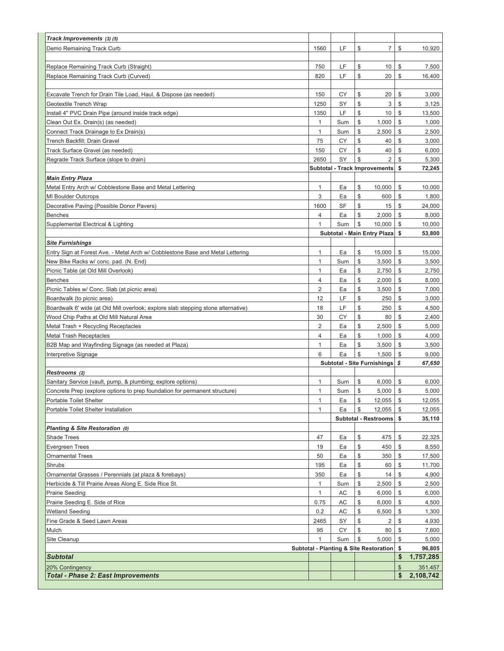| Track Improvements (3) (5)                                                        |                |     |               |                                                   |                         |                      |
|-----------------------------------------------------------------------------------|----------------|-----|---------------|---------------------------------------------------|-------------------------|----------------------|
| Demo Remaining Track Curb                                                         | 1560           | LF  | \$            | $\overline{7}$                                    | \$                      | 10,920               |
|                                                                                   |                |     |               |                                                   |                         |                      |
| Replace Remaining Track Curb (Straight)                                           | 750            | LF  | \$            | 10                                                | \$                      | 7,500                |
| Replace Remaining Track Curb (Curved)                                             | 820            | LF  | \$            | 20                                                | \$                      | 16,400               |
|                                                                                   |                |     |               |                                                   |                         |                      |
| Excavate Trench for Drain Tile Load, Haul, & Dispose (as needed)                  | 150            | CY  | \$            | 20                                                | \$                      | 3,000                |
| Geotextile Trench Wrap                                                            | 1250           | SY  | \$            | 3                                                 | \$                      | 3,125                |
| Install 4" PVC Drain Pipe (around inside track edge)                              | 1350           | LF  | \$            | 10                                                | \$                      | 13,500               |
| Clean Out Ex. Drain(s) (as needed)                                                | $\mathbf{1}$   | Sum | \$            | 1,000                                             | \$                      | 1,000                |
| Connect Track Drainage to Ex Drain(s)                                             | $\mathbf{1}$   | Sum | \$            | 2,500                                             | \$                      | 2,500                |
| Trench Backfill; Drain Gravel                                                     | 75             | СY  | \$            | 40                                                | \$                      | 3,000                |
| Track Surface Gravel (as needed)                                                  | 150            | СY  | \$            | 40                                                | \$                      | 6,000                |
| Regrade Track Surface (slope to drain)                                            | 2650           | SY  | \$            | $\overline{2}$                                    | \$                      | 5,300                |
|                                                                                   |                |     |               | <b>Subtotal - Track Improvements</b>              | \$                      | 72,245               |
| <b>Main Entry Plaza</b>                                                           |                |     |               |                                                   |                         |                      |
| Metal Entry Arch w/ Cobblestone Base and Metal Lettering                          | 1              | Ea  | \$            | 10,000                                            | \$                      | 10,000               |
| <b>MI Boulder Outcrops</b>                                                        | 3              | Ea  | \$            | 600                                               | \$                      | 1,800                |
| Decorative Paving (Possible Donor Pavers)                                         | 1600           | SF  | \$            | 15                                                | $\mathcal{L}$           | 24,000               |
| <b>Benches</b>                                                                    | 4              | Ea  | \$            | 2,000                                             | \$                      | 8,000                |
| Supplemental Electrical & Lighting                                                | 1              | Sum | \$            | 10,000                                            | \$                      | 10,000               |
|                                                                                   |                |     |               | Subtotal - Main Entry Plaza                       | -\$                     | 53,800               |
| <b>Site Furnishings</b>                                                           |                |     |               |                                                   |                         |                      |
| Entry Sign at Forest Ave. - Metal Arch w/ Cobblestone Base and Metal Lettering    | 1              | Ea  | \$            | 15,000                                            | \$                      | 15,000               |
| New Bike Racks w/ conc. pad. (N. End)                                             | 1              | Sum | \$            | 3,500                                             | \$                      | 3,500                |
| Picnic Table (at Old Mill Overlook)                                               | 1              | Ea  | \$            | 2,750                                             | \$                      | 2,750                |
| <b>Benches</b>                                                                    | $\overline{4}$ | Ea  | \$            | 2,000                                             | \$                      | 8,000                |
| Picnic Tables w/ Conc. Slab (at picnic area)                                      | $\overline{2}$ | Ea  | \$            | 3,500                                             | \$                      | 7,000                |
| Boardwalk (to picnic area)                                                        | 12             | LF  | \$            | 250                                               | \$                      | 3,000                |
| Boardwalk 6' wide (at Old Mill overlook; explore slab stepping stone alternative) | 18             | LF  | \$            | 250                                               | \$                      | 4,500                |
| Wood Chip Paths at Old Mill Natural Area                                          | 30             | СY  | \$            | 80                                                | \$                      | 2,400                |
| Metal Trash + Recycling Receptacles                                               | $\overline{2}$ | Ea  | \$            | 2,500                                             | \$                      | 5,000                |
| <b>Metal Trash Receptacles</b>                                                    | $\overline{4}$ | Ea  | \$            | 1,000                                             | \$                      | 4,000                |
| B2B Map and Wayfinding Signage (as needed at Plaza)                               | 1              | Ea  | \$            | 3,500                                             | \$                      | 3,500                |
| Interpretive Signage                                                              | 6              | Ea  | \$            | 1,500                                             | \$                      | 9,000                |
|                                                                                   |                |     |               | <b>Subtotal - Site Furnishings</b>                | \$                      | 67,650               |
| Restrooms (2)                                                                     |                |     |               |                                                   |                         |                      |
| Sanitary Service (vault, pump, & plumbing; explore options)                       | 1              | Sum | \$            | 6,000                                             | \$                      | 6,000                |
| Concrete Prep (explore options to prep foundation for permanent structure)        | 1              | Sum | \$            | 5,000                                             | \$                      | 5,000                |
| Portable Toilet Shelter                                                           | $\mathbf{1}$   | Ea  | $\frac{1}{2}$ | 12,055                                            | $\sqrt[6]{\frac{1}{2}}$ | 12,055               |
| Portable Toilet Shelter Installation                                              | 1              | Ea  | \$            | 12,055                                            | \$                      | 12,055               |
|                                                                                   |                |     |               | Subtotal - Restrooms \$                           |                         | 35,110               |
| Planting & Site Restoration (0)                                                   |                |     |               |                                                   |                         |                      |
| <b>Shade Trees</b>                                                                | 47             | Ea  | \$            | 475                                               | \$                      | 22,325               |
| Evergreen Trees                                                                   | 19             | Ea  | \$            | 450                                               | \$                      | 8,550                |
| Ornamental Trees                                                                  | 50             | Ea  | \$            | 350                                               | \$                      | 17,500               |
| Shrubs                                                                            | 195            | Ea  | \$            | 60                                                | $\mathcal{S}$           | 11,700               |
| Ornamental Grasses / Perennials (at plaza & forebays)                             | 350            | Ea  | \$            | 14                                                | \$                      | 4,900                |
| Herbicide & Till Prairie Areas Along E. Side Rice St.                             | $\mathbf{1}$   | Sum | \$            | 2,500                                             | \$                      | 2,500                |
| Prairie Seeding                                                                   | 1              | AC  | \$            | 6,000                                             | \$                      | 6,000                |
| Prairie Seeding E. Side of Rice                                                   | 0.75           | AC  | \$            | 6,000                                             | \$                      | 4,500                |
| <b>Wetland Seeding</b>                                                            | 0.2            | AC  | \$            | 6,500                                             | \$                      | 1,300                |
| Fine Grade & Seed Lawn Areas                                                      | 2465           | SY  | \$            | 2                                                 | \$                      | 4,930                |
| Mulch                                                                             | 95             | CY  | \$            | 80                                                | \$                      | 7,600                |
| Site Cleanup                                                                      | $\mathbf{1}$   | Sum | \$            | 5,000                                             | \$                      | 5,000                |
|                                                                                   |                |     |               | <b>Subtotal - Planting &amp; Site Restoration</b> | \$<br>\$                | 96,805               |
| <b>Subtotal</b>                                                                   |                |     |               |                                                   |                         | 1,757,285            |
| 20% Contingency<br><b>Total - Phase 2: East Improvements</b>                      |                |     |               |                                                   | \$<br>\$                | 351,457<br>2,108,742 |
|                                                                                   |                |     |               |                                                   |                         |                      |